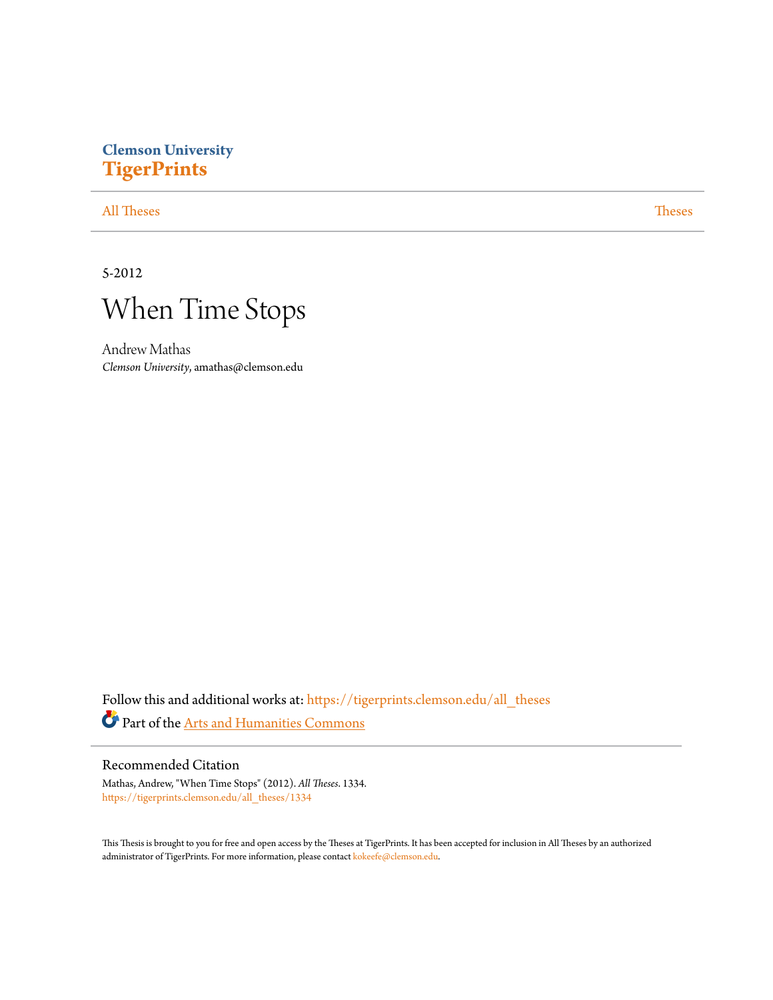# **Clemson University [TigerPrints](https://tigerprints.clemson.edu?utm_source=tigerprints.clemson.edu%2Fall_theses%2F1334&utm_medium=PDF&utm_campaign=PDFCoverPages)**

### [All Theses](https://tigerprints.clemson.edu/all_theses?utm_source=tigerprints.clemson.edu%2Fall_theses%2F1334&utm_medium=PDF&utm_campaign=PDFCoverPages) **[Theses](https://tigerprints.clemson.edu/theses?utm_source=tigerprints.clemson.edu%2Fall_theses%2F1334&utm_medium=PDF&utm_campaign=PDFCoverPages)**

5-2012



Andrew Mathas *Clemson University*, amathas@clemson.edu

Follow this and additional works at: [https://tigerprints.clemson.edu/all\\_theses](https://tigerprints.clemson.edu/all_theses?utm_source=tigerprints.clemson.edu%2Fall_theses%2F1334&utm_medium=PDF&utm_campaign=PDFCoverPages) Part of the [Arts and Humanities Commons](http://network.bepress.com/hgg/discipline/438?utm_source=tigerprints.clemson.edu%2Fall_theses%2F1334&utm_medium=PDF&utm_campaign=PDFCoverPages)

### Recommended Citation

Mathas, Andrew, "When Time Stops" (2012). *All Theses*. 1334. [https://tigerprints.clemson.edu/all\\_theses/1334](https://tigerprints.clemson.edu/all_theses/1334?utm_source=tigerprints.clemson.edu%2Fall_theses%2F1334&utm_medium=PDF&utm_campaign=PDFCoverPages)

This Thesis is brought to you for free and open access by the Theses at TigerPrints. It has been accepted for inclusion in All Theses by an authorized administrator of TigerPrints. For more information, please contact [kokeefe@clemson.edu](mailto:kokeefe@clemson.edu).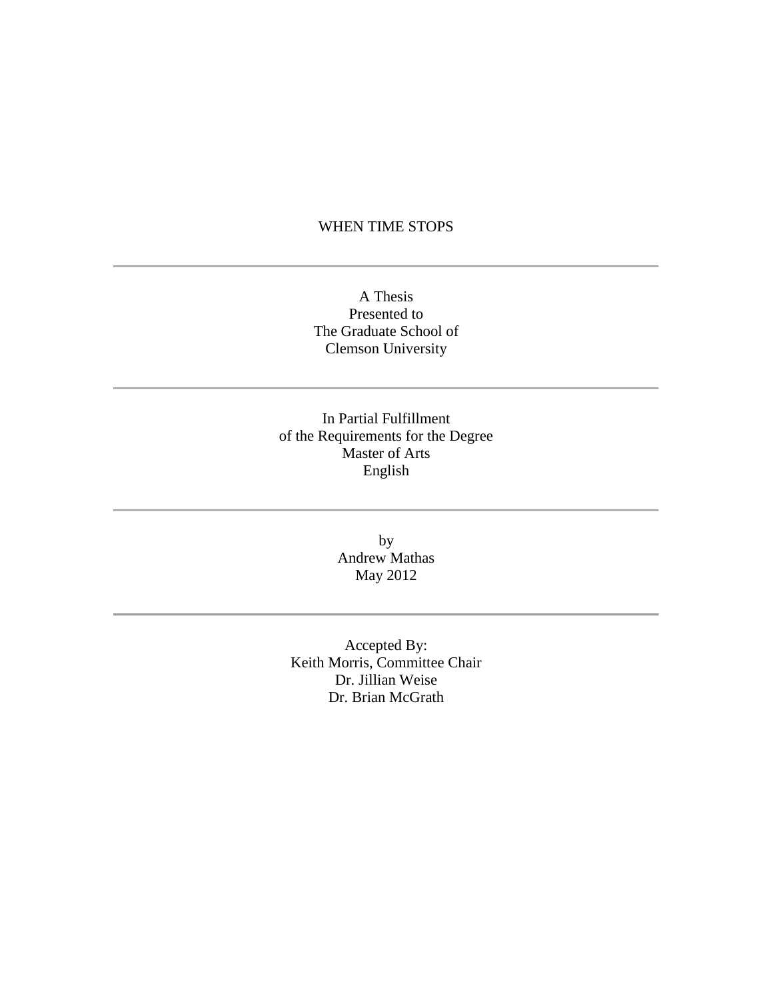### WHEN TIME STOPS

A Thesis Presented to The Graduate School of Clemson University

In Partial Fulfillment of the Requirements for the Degree Master of Arts English

> by Andrew Mathas May 2012

Accepted By: Keith Morris, Committee Chair Dr. Jillian Weise Dr. Brian McGrath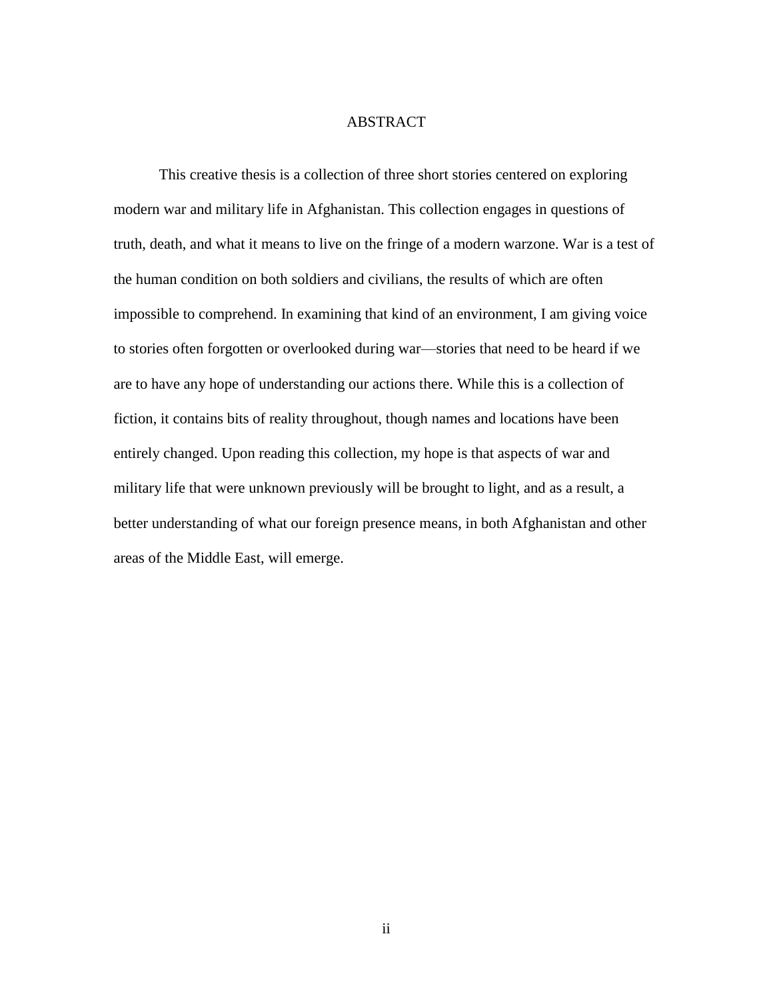### ABSTRACT

This creative thesis is a collection of three short stories centered on exploring modern war and military life in Afghanistan. This collection engages in questions of truth, death, and what it means to live on the fringe of a modern warzone. War is a test of the human condition on both soldiers and civilians, the results of which are often impossible to comprehend. In examining that kind of an environment, I am giving voice to stories often forgotten or overlooked during war—stories that need to be heard if we are to have any hope of understanding our actions there. While this is a collection of fiction, it contains bits of reality throughout, though names and locations have been entirely changed. Upon reading this collection, my hope is that aspects of war and military life that were unknown previously will be brought to light, and as a result, a better understanding of what our foreign presence means, in both Afghanistan and other areas of the Middle East, will emerge.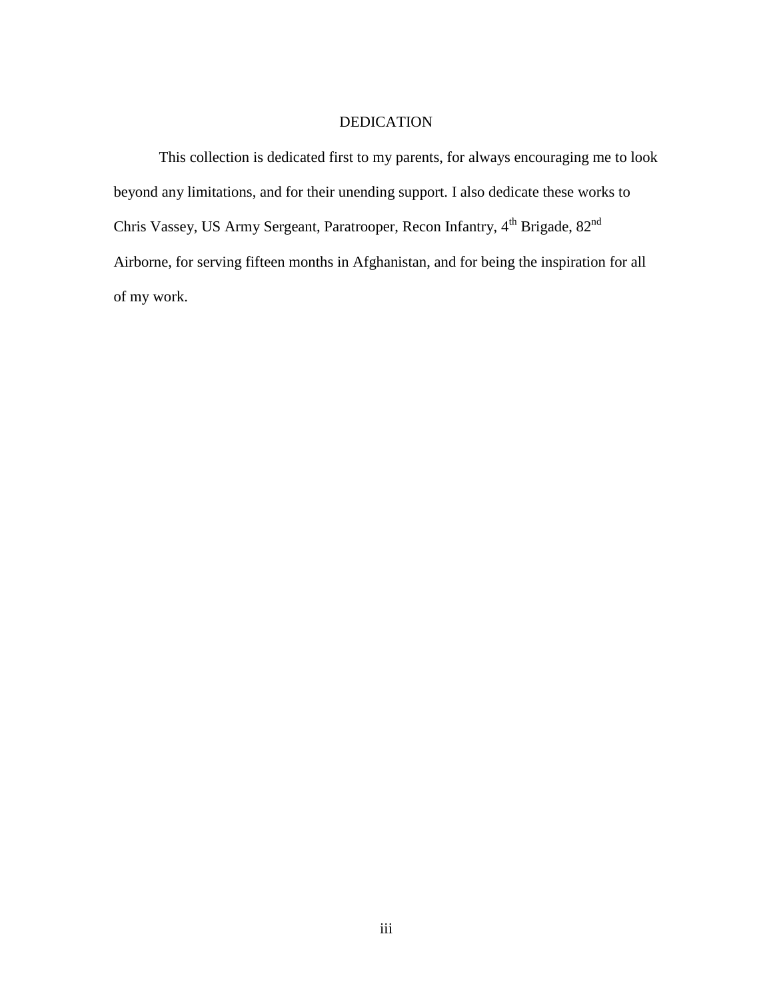### DEDICATION

This collection is dedicated first to my parents, for always encouraging me to look beyond any limitations, and for their unending support. I also dedicate these works to Chris Vassey, US Army Sergeant, Paratrooper, Recon Infantry, 4<sup>th</sup> Brigade, 82<sup>nd</sup> Airborne, for serving fifteen months in Afghanistan, and for being the inspiration for all of my work.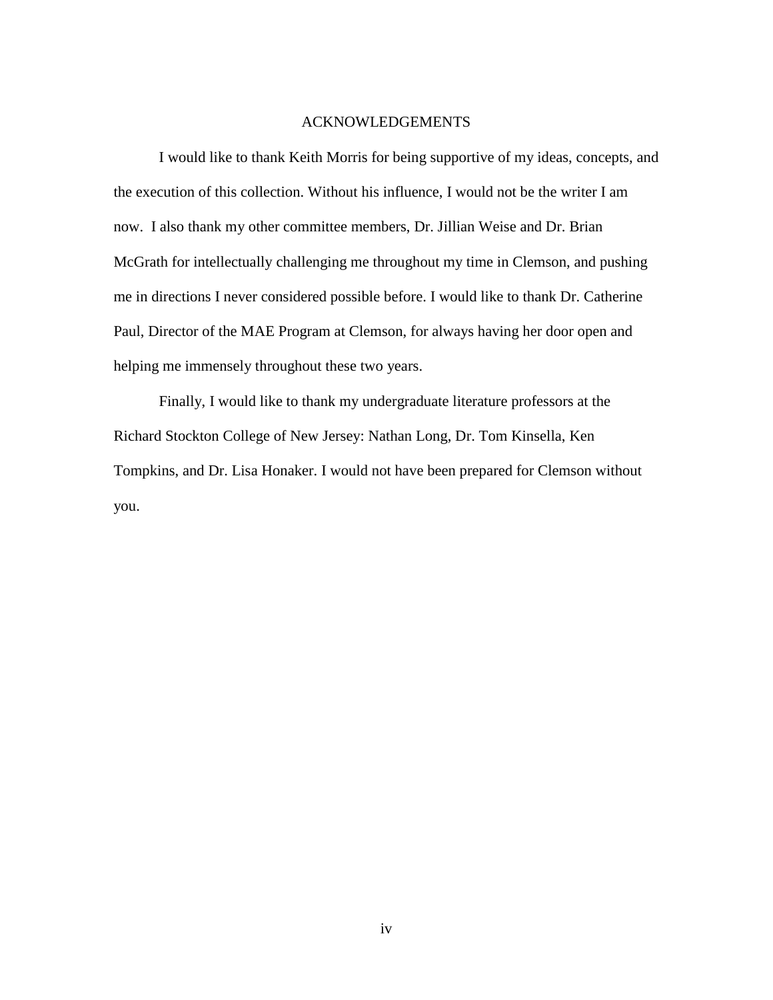#### ACKNOWLEDGEMENTS

I would like to thank Keith Morris for being supportive of my ideas, concepts, and the execution of this collection. Without his influence, I would not be the writer I am now. I also thank my other committee members, Dr. Jillian Weise and Dr. Brian McGrath for intellectually challenging me throughout my time in Clemson, and pushing me in directions I never considered possible before. I would like to thank Dr. Catherine Paul, Director of the MAE Program at Clemson, for always having her door open and helping me immensely throughout these two years.

Finally, I would like to thank my undergraduate literature professors at the Richard Stockton College of New Jersey: Nathan Long, Dr. Tom Kinsella, Ken Tompkins, and Dr. Lisa Honaker. I would not have been prepared for Clemson without you.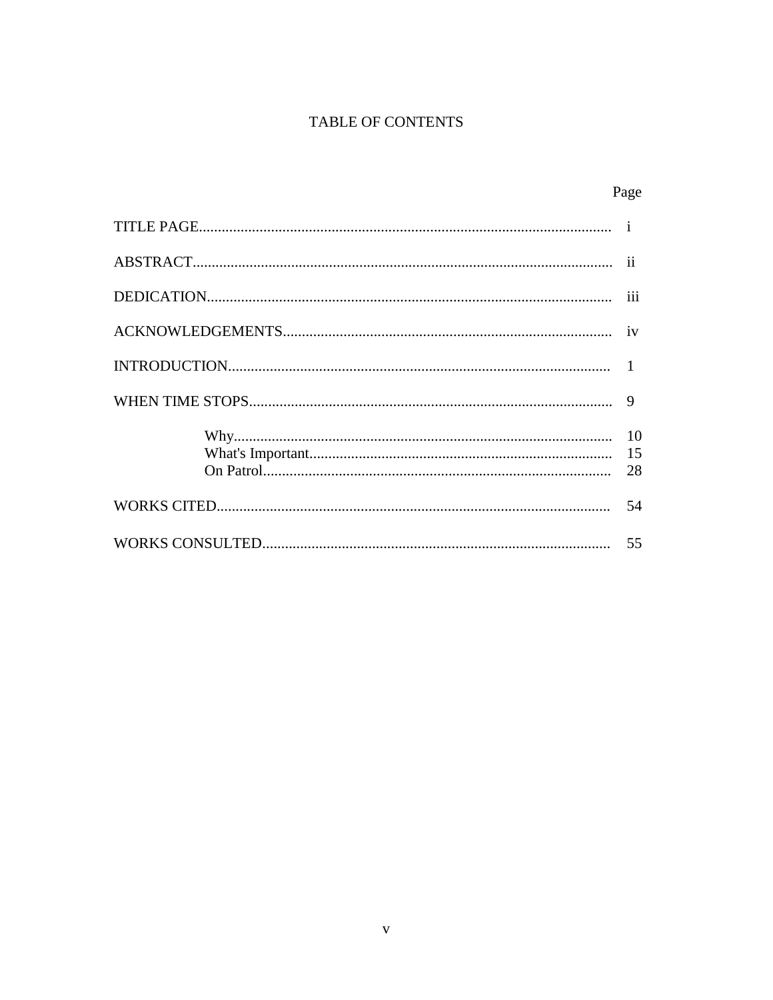## TABLE OF CONTENTS

Page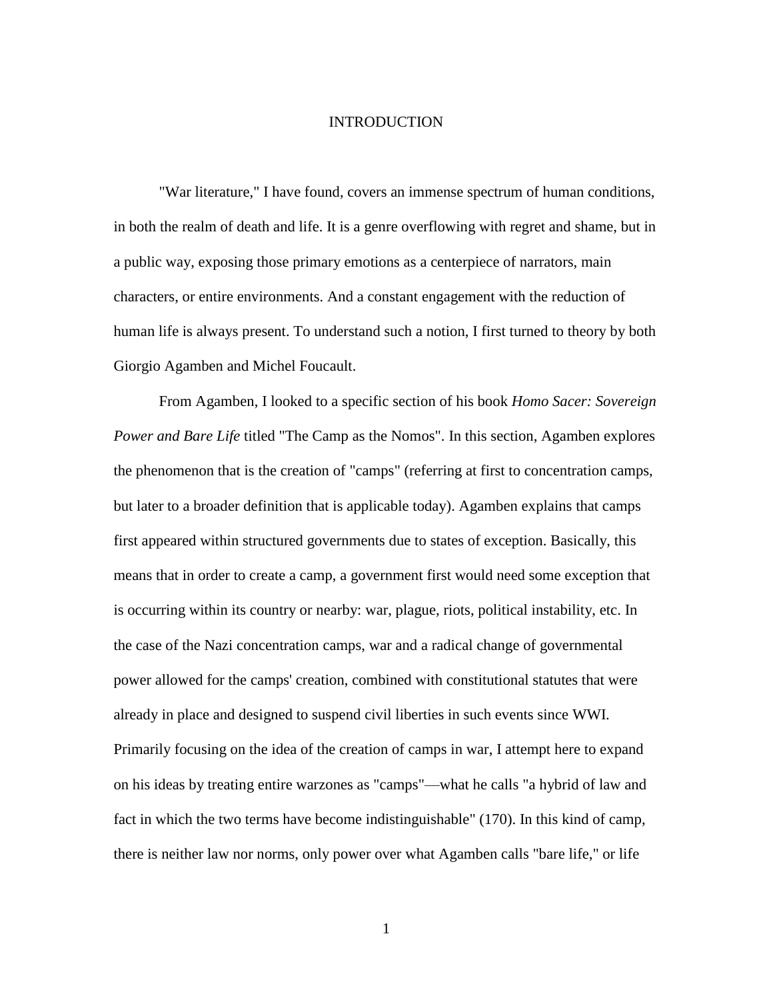#### INTRODUCTION

"War literature," I have found, covers an immense spectrum of human conditions, in both the realm of death and life. It is a genre overflowing with regret and shame, but in a public way, exposing those primary emotions as a centerpiece of narrators, main characters, or entire environments. And a constant engagement with the reduction of human life is always present. To understand such a notion, I first turned to theory by both Giorgio Agamben and Michel Foucault.

From Agamben, I looked to a specific section of his book *Homo Sacer: Sovereign Power and Bare Life* titled "The Camp as the Nomos". In this section, Agamben explores the phenomenon that is the creation of "camps" (referring at first to concentration camps, but later to a broader definition that is applicable today). Agamben explains that camps first appeared within structured governments due to states of exception. Basically, this means that in order to create a camp, a government first would need some exception that is occurring within its country or nearby: war, plague, riots, political instability, etc. In the case of the Nazi concentration camps, war and a radical change of governmental power allowed for the camps' creation, combined with constitutional statutes that were already in place and designed to suspend civil liberties in such events since WWI. Primarily focusing on the idea of the creation of camps in war, I attempt here to expand on his ideas by treating entire warzones as "camps"—what he calls "a hybrid of law and fact in which the two terms have become indistinguishable" (170). In this kind of camp, there is neither law nor norms, only power over what Agamben calls "bare life," or life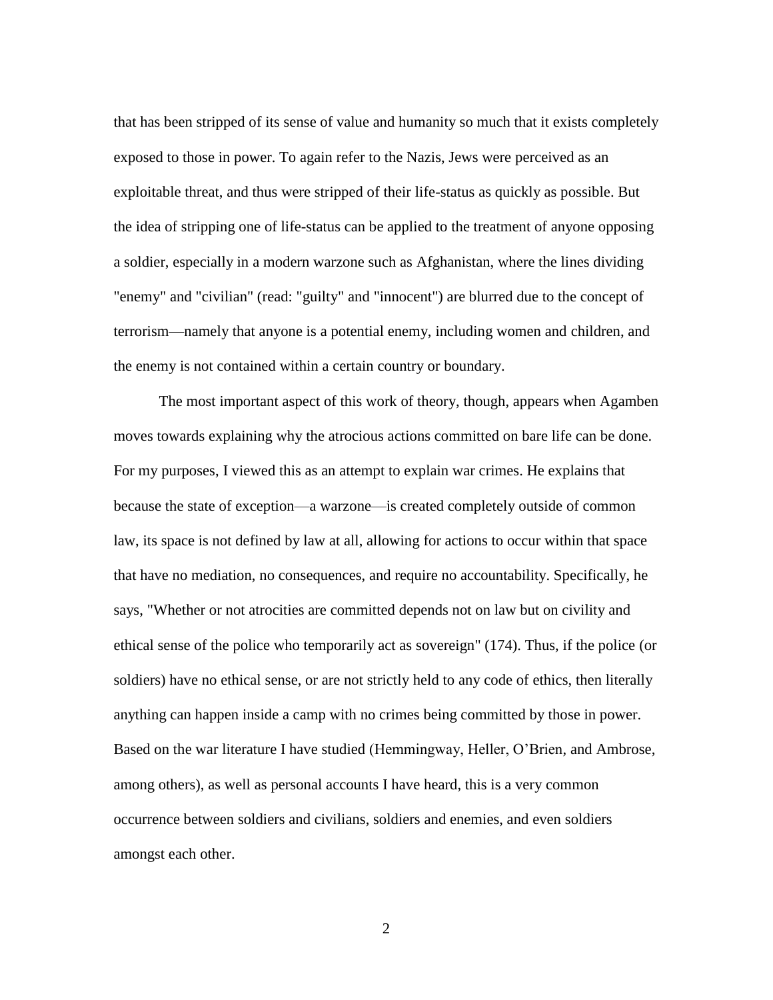that has been stripped of its sense of value and humanity so much that it exists completely exposed to those in power. To again refer to the Nazis, Jews were perceived as an exploitable threat, and thus were stripped of their life-status as quickly as possible. But the idea of stripping one of life-status can be applied to the treatment of anyone opposing a soldier, especially in a modern warzone such as Afghanistan, where the lines dividing "enemy" and "civilian" (read: "guilty" and "innocent") are blurred due to the concept of terrorism—namely that anyone is a potential enemy, including women and children, and the enemy is not contained within a certain country or boundary.

The most important aspect of this work of theory, though, appears when Agamben moves towards explaining why the atrocious actions committed on bare life can be done. For my purposes, I viewed this as an attempt to explain war crimes. He explains that because the state of exception—a warzone—is created completely outside of common law, its space is not defined by law at all, allowing for actions to occur within that space that have no mediation, no consequences, and require no accountability. Specifically, he says, "Whether or not atrocities are committed depends not on law but on civility and ethical sense of the police who temporarily act as sovereign" (174). Thus, if the police (or soldiers) have no ethical sense, or are not strictly held to any code of ethics, then literally anything can happen inside a camp with no crimes being committed by those in power. Based on the war literature I have studied (Hemmingway, Heller, O'Brien, and Ambrose, among others), as well as personal accounts I have heard, this is a very common occurrence between soldiers and civilians, soldiers and enemies, and even soldiers amongst each other.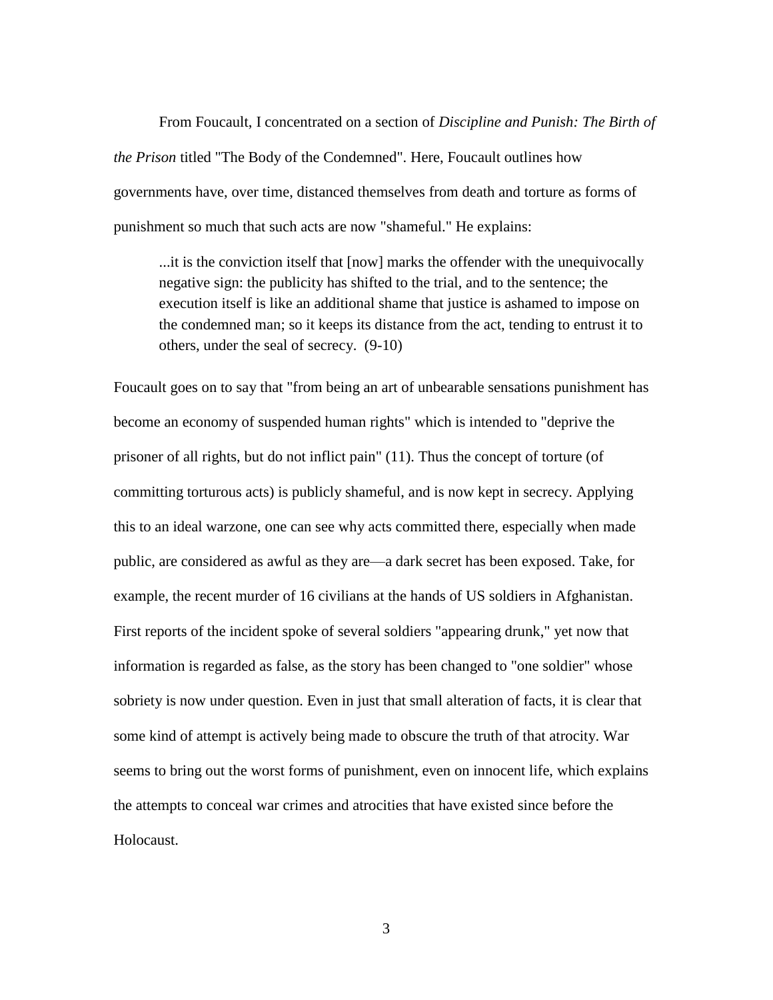From Foucault, I concentrated on a section of *Discipline and Punish: The Birth of the Prison* titled "The Body of the Condemned". Here, Foucault outlines how governments have, over time, distanced themselves from death and torture as forms of punishment so much that such acts are now "shameful." He explains:

...it is the conviction itself that [now] marks the offender with the unequivocally negative sign: the publicity has shifted to the trial, and to the sentence; the execution itself is like an additional shame that justice is ashamed to impose on the condemned man; so it keeps its distance from the act, tending to entrust it to others, under the seal of secrecy. (9-10)

Foucault goes on to say that "from being an art of unbearable sensations punishment has become an economy of suspended human rights" which is intended to "deprive the prisoner of all rights, but do not inflict pain" (11). Thus the concept of torture (of committing torturous acts) is publicly shameful, and is now kept in secrecy. Applying this to an ideal warzone, one can see why acts committed there, especially when made public, are considered as awful as they are—a dark secret has been exposed. Take, for example, the recent murder of 16 civilians at the hands of US soldiers in Afghanistan. First reports of the incident spoke of several soldiers "appearing drunk," yet now that information is regarded as false, as the story has been changed to "one soldier" whose sobriety is now under question. Even in just that small alteration of facts, it is clear that some kind of attempt is actively being made to obscure the truth of that atrocity. War seems to bring out the worst forms of punishment, even on innocent life, which explains the attempts to conceal war crimes and atrocities that have existed since before the Holocaust.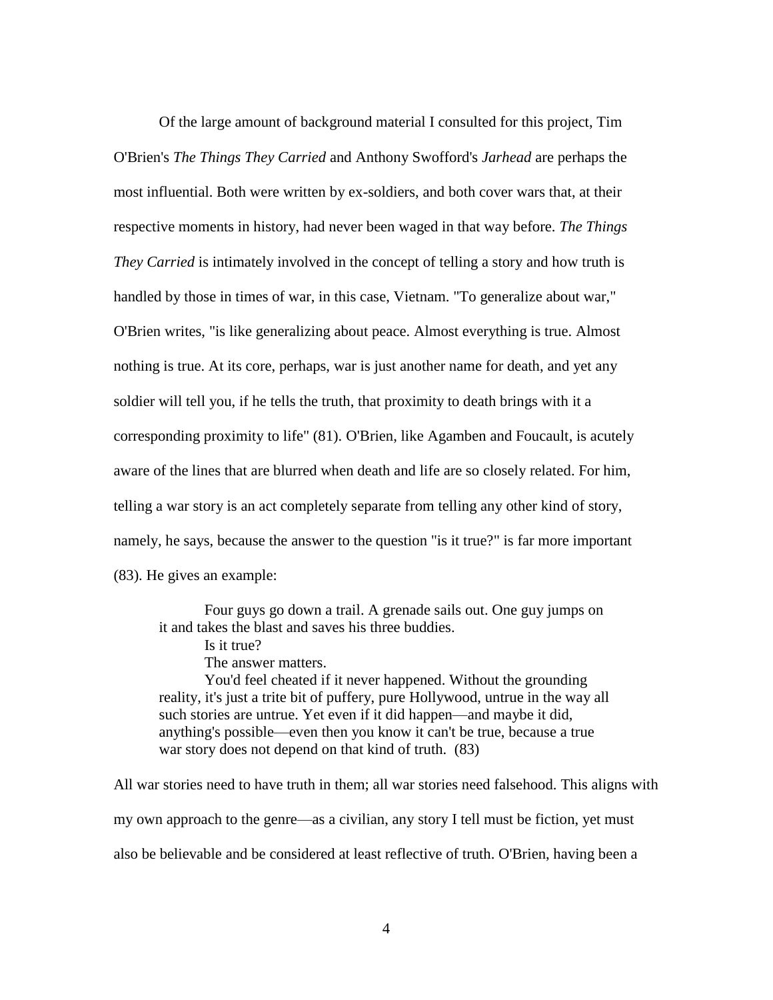Of the large amount of background material I consulted for this project, Tim O'Brien's *The Things They Carried* and Anthony Swofford's *Jarhead* are perhaps the most influential. Both were written by ex-soldiers, and both cover wars that, at their respective moments in history, had never been waged in that way before. *The Things They Carried* is intimately involved in the concept of telling a story and how truth is handled by those in times of war, in this case, Vietnam. "To generalize about war," O'Brien writes, "is like generalizing about peace. Almost everything is true. Almost nothing is true. At its core, perhaps, war is just another name for death, and yet any soldier will tell you, if he tells the truth, that proximity to death brings with it a corresponding proximity to life" (81). O'Brien, like Agamben and Foucault, is acutely aware of the lines that are blurred when death and life are so closely related. For him, telling a war story is an act completely separate from telling any other kind of story, namely, he says, because the answer to the question "is it true?" is far more important (83). He gives an example:

Four guys go down a trail. A grenade sails out. One guy jumps on it and takes the blast and saves his three buddies.

Is it true?

The answer matters.

You'd feel cheated if it never happened. Without the grounding reality, it's just a trite bit of puffery, pure Hollywood, untrue in the way all such stories are untrue. Yet even if it did happen—and maybe it did, anything's possible—even then you know it can't be true, because a true war story does not depend on that kind of truth. (83)

All war stories need to have truth in them; all war stories need falsehood. This aligns with my own approach to the genre—as a civilian, any story I tell must be fiction, yet must also be believable and be considered at least reflective of truth. O'Brien, having been a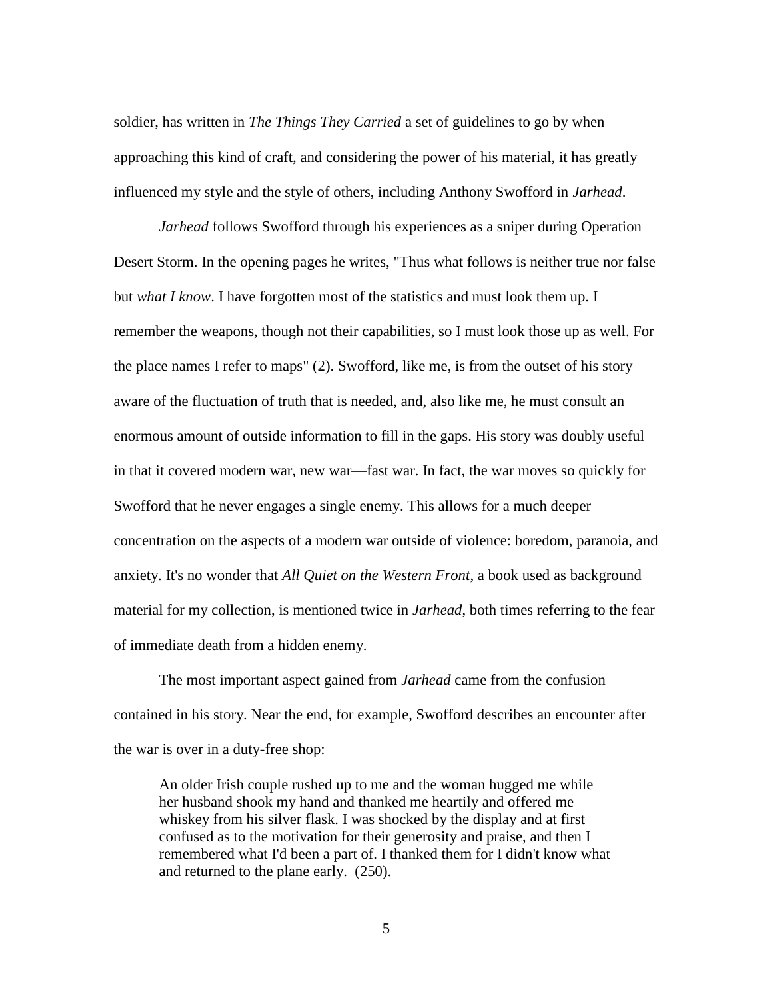soldier, has written in *The Things They Carried* a set of guidelines to go by when approaching this kind of craft, and considering the power of his material, it has greatly influenced my style and the style of others, including Anthony Swofford in *Jarhead*.

*Jarhead* follows Swofford through his experiences as a sniper during Operation Desert Storm. In the opening pages he writes, "Thus what follows is neither true nor false but *what I know*. I have forgotten most of the statistics and must look them up. I remember the weapons, though not their capabilities, so I must look those up as well. For the place names I refer to maps" (2). Swofford, like me, is from the outset of his story aware of the fluctuation of truth that is needed, and, also like me, he must consult an enormous amount of outside information to fill in the gaps. His story was doubly useful in that it covered modern war, new war—fast war. In fact, the war moves so quickly for Swofford that he never engages a single enemy. This allows for a much deeper concentration on the aspects of a modern war outside of violence: boredom, paranoia, and anxiety. It's no wonder that *All Quiet on the Western Front*, a book used as background material for my collection, is mentioned twice in *Jarhead*, both times referring to the fear of immediate death from a hidden enemy.

The most important aspect gained from *Jarhead* came from the confusion contained in his story. Near the end, for example, Swofford describes an encounter after the war is over in a duty-free shop:

An older Irish couple rushed up to me and the woman hugged me while her husband shook my hand and thanked me heartily and offered me whiskey from his silver flask. I was shocked by the display and at first confused as to the motivation for their generosity and praise, and then I remembered what I'd been a part of. I thanked them for I didn't know what and returned to the plane early. (250).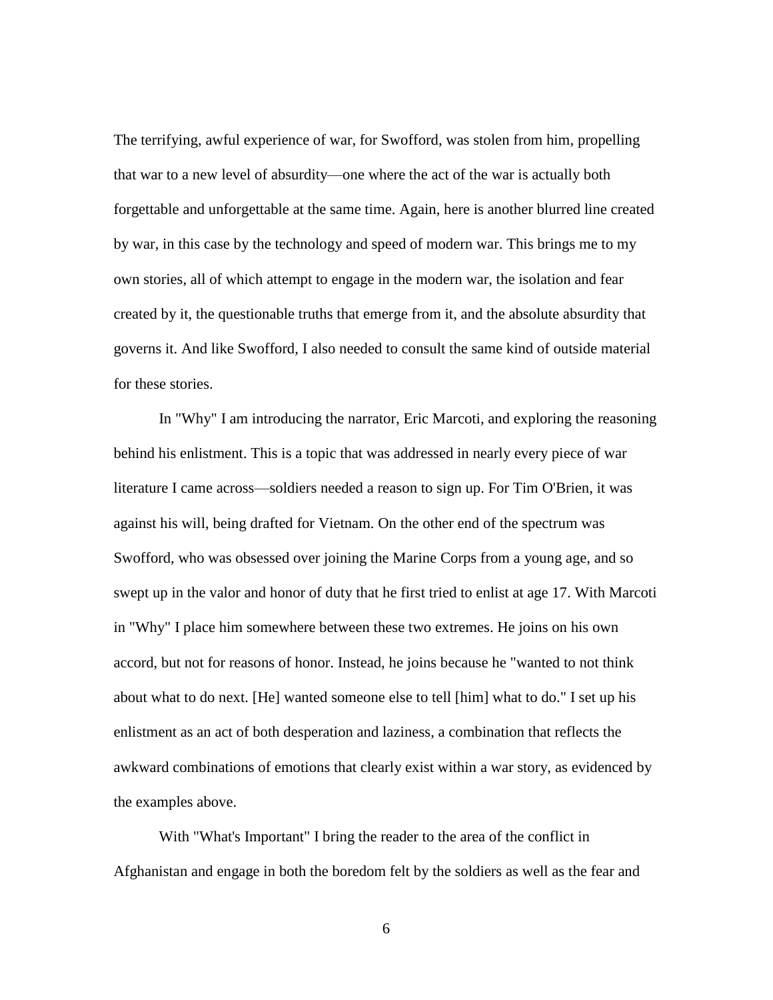The terrifying, awful experience of war, for Swofford, was stolen from him, propelling that war to a new level of absurdity—one where the act of the war is actually both forgettable and unforgettable at the same time. Again, here is another blurred line created by war, in this case by the technology and speed of modern war. This brings me to my own stories, all of which attempt to engage in the modern war, the isolation and fear created by it, the questionable truths that emerge from it, and the absolute absurdity that governs it. And like Swofford, I also needed to consult the same kind of outside material for these stories.

In "Why" I am introducing the narrator, Eric Marcoti, and exploring the reasoning behind his enlistment. This is a topic that was addressed in nearly every piece of war literature I came across—soldiers needed a reason to sign up. For Tim O'Brien, it was against his will, being drafted for Vietnam. On the other end of the spectrum was Swofford, who was obsessed over joining the Marine Corps from a young age, and so swept up in the valor and honor of duty that he first tried to enlist at age 17. With Marcoti in "Why" I place him somewhere between these two extremes. He joins on his own accord, but not for reasons of honor. Instead, he joins because he "wanted to not think about what to do next. [He] wanted someone else to tell [him] what to do." I set up his enlistment as an act of both desperation and laziness, a combination that reflects the awkward combinations of emotions that clearly exist within a war story, as evidenced by the examples above.

With "What's Important" I bring the reader to the area of the conflict in Afghanistan and engage in both the boredom felt by the soldiers as well as the fear and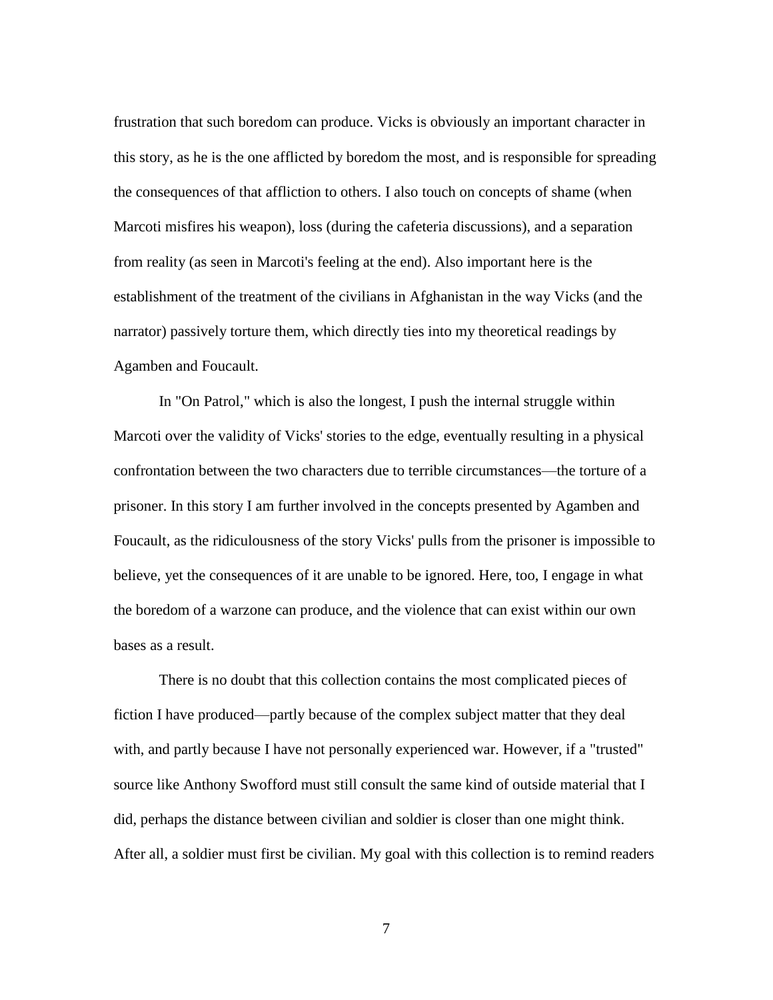frustration that such boredom can produce. Vicks is obviously an important character in this story, as he is the one afflicted by boredom the most, and is responsible for spreading the consequences of that affliction to others. I also touch on concepts of shame (when Marcoti misfires his weapon), loss (during the cafeteria discussions), and a separation from reality (as seen in Marcoti's feeling at the end). Also important here is the establishment of the treatment of the civilians in Afghanistan in the way Vicks (and the narrator) passively torture them, which directly ties into my theoretical readings by Agamben and Foucault.

In "On Patrol," which is also the longest, I push the internal struggle within Marcoti over the validity of Vicks' stories to the edge, eventually resulting in a physical confrontation between the two characters due to terrible circumstances—the torture of a prisoner. In this story I am further involved in the concepts presented by Agamben and Foucault, as the ridiculousness of the story Vicks' pulls from the prisoner is impossible to believe, yet the consequences of it are unable to be ignored. Here, too, I engage in what the boredom of a warzone can produce, and the violence that can exist within our own bases as a result.

There is no doubt that this collection contains the most complicated pieces of fiction I have produced—partly because of the complex subject matter that they deal with, and partly because I have not personally experienced war. However, if a "trusted" source like Anthony Swofford must still consult the same kind of outside material that I did, perhaps the distance between civilian and soldier is closer than one might think. After all, a soldier must first be civilian. My goal with this collection is to remind readers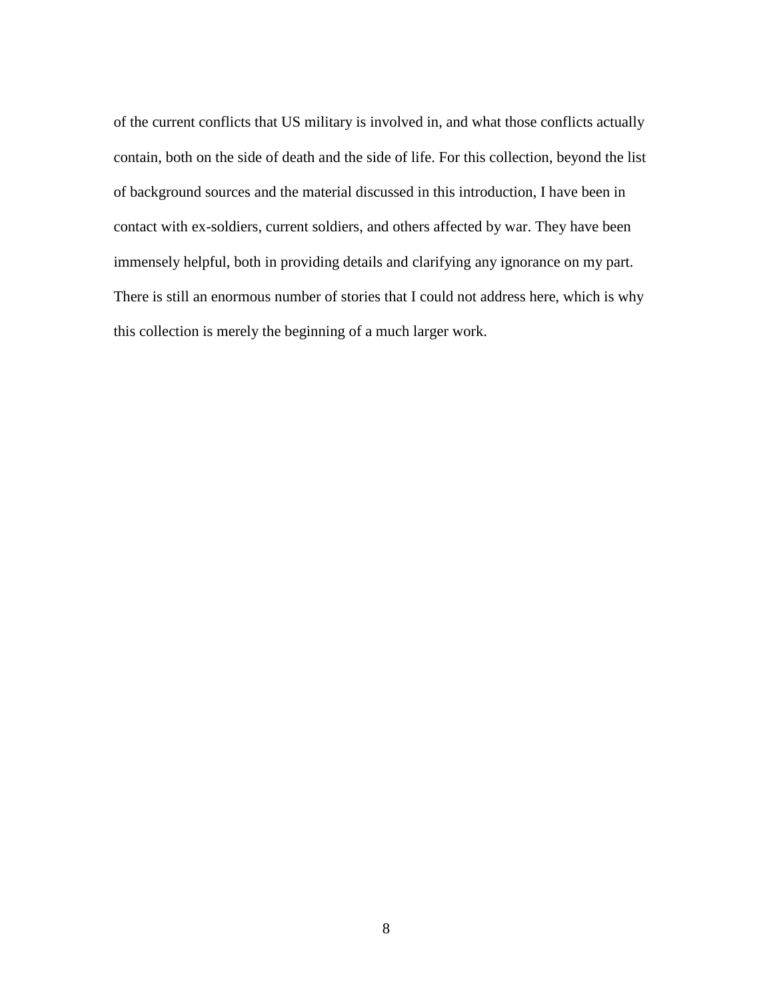of the current conflicts that US military is involved in, and what those conflicts actually contain, both on the side of death and the side of life. For this collection, beyond the list of background sources and the material discussed in this introduction, I have been in contact with ex-soldiers, current soldiers, and others affected by war. They have been immensely helpful, both in providing details and clarifying any ignorance on my part. There is still an enormous number of stories that I could not address here, which is why this collection is merely the beginning of a much larger work.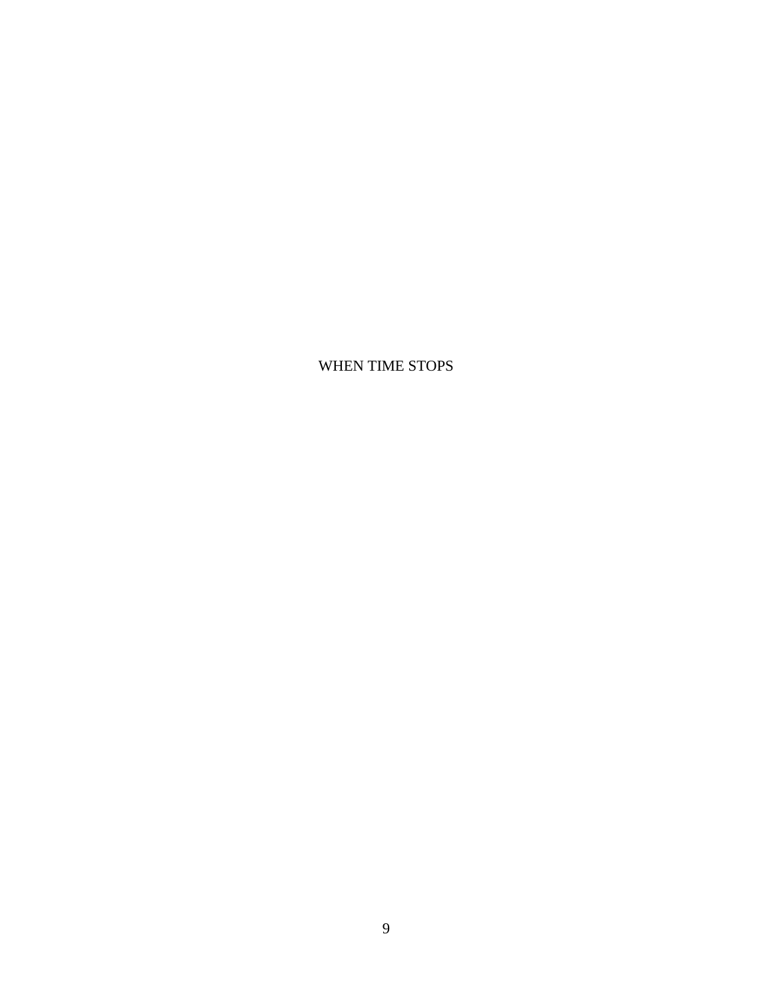WHEN TIME STOPS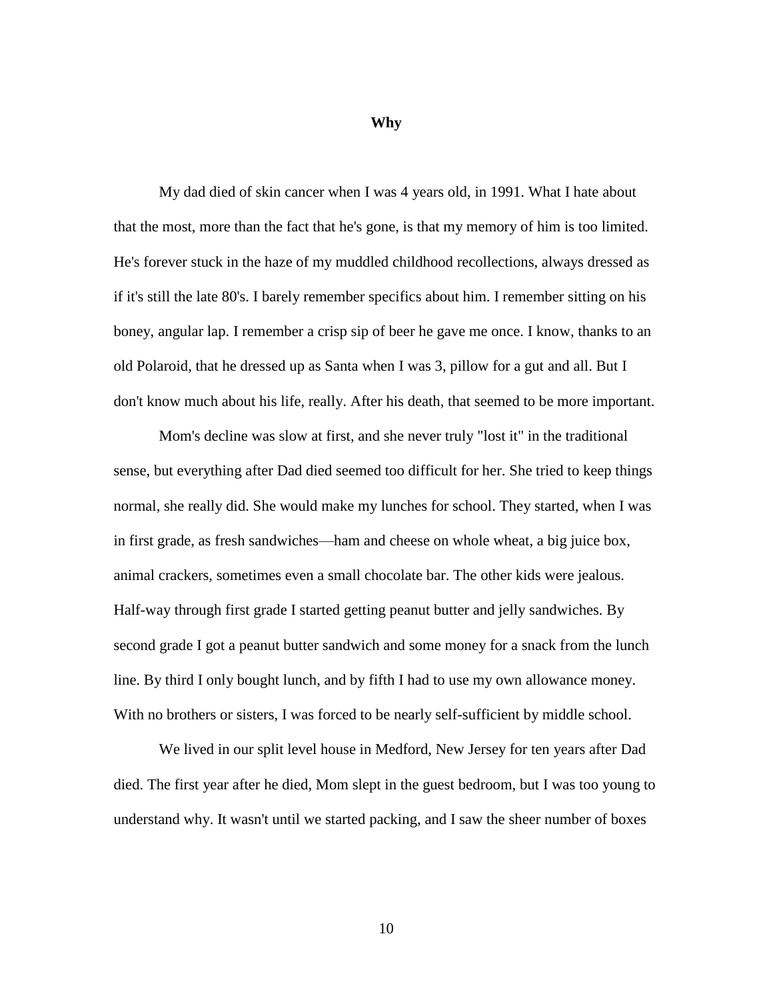**Why**

My dad died of skin cancer when I was 4 years old, in 1991. What I hate about that the most, more than the fact that he's gone, is that my memory of him is too limited. He's forever stuck in the haze of my muddled childhood recollections, always dressed as if it's still the late 80's. I barely remember specifics about him. I remember sitting on his boney, angular lap. I remember a crisp sip of beer he gave me once. I know, thanks to an old Polaroid, that he dressed up as Santa when I was 3, pillow for a gut and all. But I don't know much about his life, really. After his death, that seemed to be more important.

Mom's decline was slow at first, and she never truly "lost it" in the traditional sense, but everything after Dad died seemed too difficult for her. She tried to keep things normal, she really did. She would make my lunches for school. They started, when I was in first grade, as fresh sandwiches—ham and cheese on whole wheat, a big juice box, animal crackers, sometimes even a small chocolate bar. The other kids were jealous. Half-way through first grade I started getting peanut butter and jelly sandwiches. By second grade I got a peanut butter sandwich and some money for a snack from the lunch line. By third I only bought lunch, and by fifth I had to use my own allowance money. With no brothers or sisters, I was forced to be nearly self-sufficient by middle school.

We lived in our split level house in Medford, New Jersey for ten years after Dad died. The first year after he died, Mom slept in the guest bedroom, but I was too young to understand why. It wasn't until we started packing, and I saw the sheer number of boxes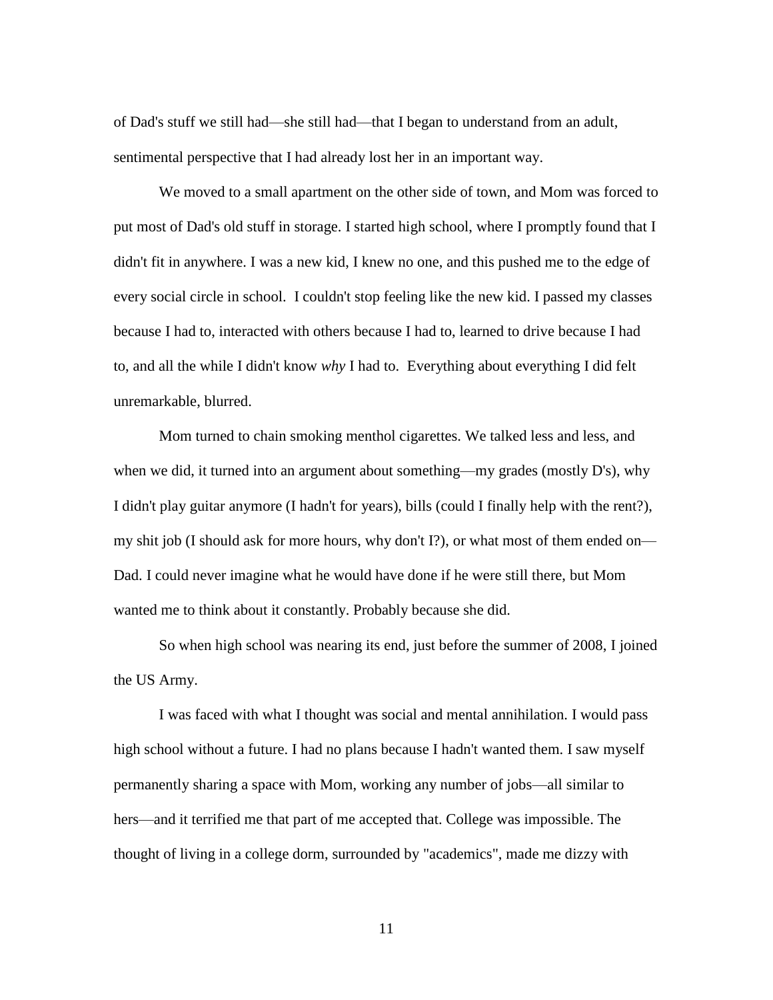of Dad's stuff we still had—she still had—that I began to understand from an adult, sentimental perspective that I had already lost her in an important way.

We moved to a small apartment on the other side of town, and Mom was forced to put most of Dad's old stuff in storage. I started high school, where I promptly found that I didn't fit in anywhere. I was a new kid, I knew no one, and this pushed me to the edge of every social circle in school. I couldn't stop feeling like the new kid. I passed my classes because I had to, interacted with others because I had to, learned to drive because I had to, and all the while I didn't know *why* I had to. Everything about everything I did felt unremarkable, blurred.

Mom turned to chain smoking menthol cigarettes. We talked less and less, and when we did, it turned into an argument about something—my grades (mostly D's), why I didn't play guitar anymore (I hadn't for years), bills (could I finally help with the rent?), my shit job (I should ask for more hours, why don't I?), or what most of them ended on— Dad. I could never imagine what he would have done if he were still there, but Mom wanted me to think about it constantly. Probably because she did.

So when high school was nearing its end, just before the summer of 2008, I joined the US Army.

I was faced with what I thought was social and mental annihilation. I would pass high school without a future. I had no plans because I hadn't wanted them. I saw myself permanently sharing a space with Mom, working any number of jobs—all similar to hers—and it terrified me that part of me accepted that. College was impossible. The thought of living in a college dorm, surrounded by "academics", made me dizzy with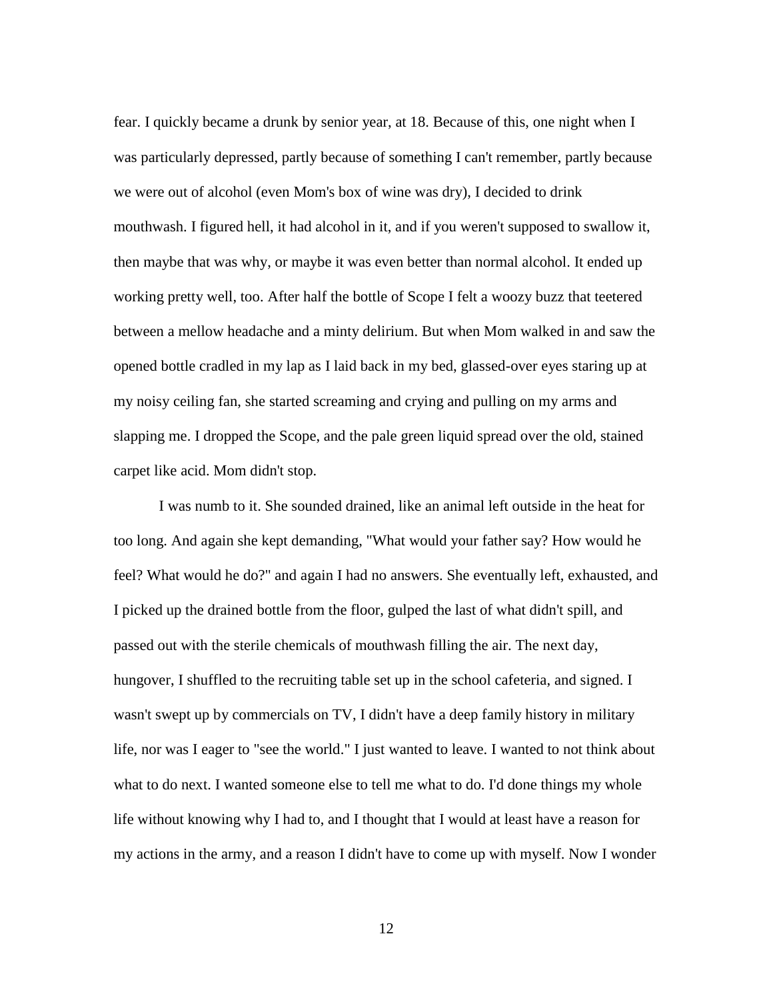fear. I quickly became a drunk by senior year, at 18. Because of this, one night when I was particularly depressed, partly because of something I can't remember, partly because we were out of alcohol (even Mom's box of wine was dry), I decided to drink mouthwash. I figured hell, it had alcohol in it, and if you weren't supposed to swallow it, then maybe that was why, or maybe it was even better than normal alcohol. It ended up working pretty well, too. After half the bottle of Scope I felt a woozy buzz that teetered between a mellow headache and a minty delirium. But when Mom walked in and saw the opened bottle cradled in my lap as I laid back in my bed, glassed-over eyes staring up at my noisy ceiling fan, she started screaming and crying and pulling on my arms and slapping me. I dropped the Scope, and the pale green liquid spread over the old, stained carpet like acid. Mom didn't stop.

I was numb to it. She sounded drained, like an animal left outside in the heat for too long. And again she kept demanding, "What would your father say? How would he feel? What would he do?" and again I had no answers. She eventually left, exhausted, and I picked up the drained bottle from the floor, gulped the last of what didn't spill, and passed out with the sterile chemicals of mouthwash filling the air. The next day, hungover, I shuffled to the recruiting table set up in the school cafeteria, and signed. I wasn't swept up by commercials on TV, I didn't have a deep family history in military life, nor was I eager to "see the world." I just wanted to leave. I wanted to not think about what to do next. I wanted someone else to tell me what to do. I'd done things my whole life without knowing why I had to, and I thought that I would at least have a reason for my actions in the army, and a reason I didn't have to come up with myself. Now I wonder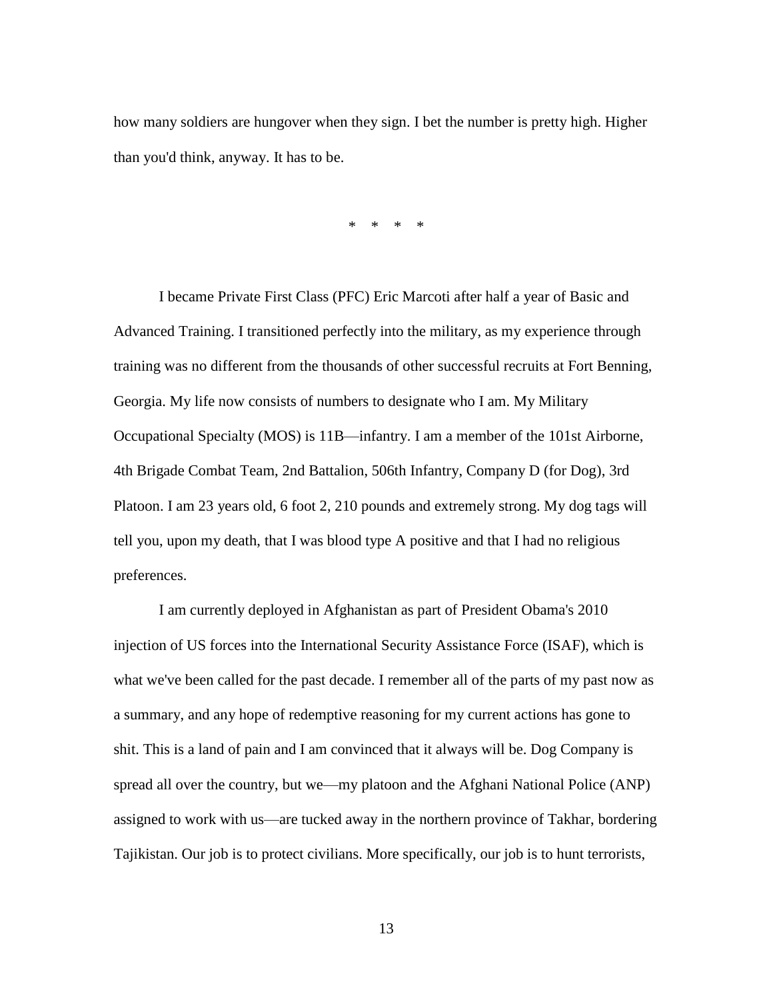how many soldiers are hungover when they sign. I bet the number is pretty high. Higher than you'd think, anyway. It has to be.

\* \* \* \*

I became Private First Class (PFC) Eric Marcoti after half a year of Basic and Advanced Training. I transitioned perfectly into the military, as my experience through training was no different from the thousands of other successful recruits at Fort Benning, Georgia. My life now consists of numbers to designate who I am. My Military Occupational Specialty (MOS) is 11B—infantry. I am a member of the 101st Airborne, 4th Brigade Combat Team, 2nd Battalion, 506th Infantry, Company D (for Dog), 3rd Platoon. I am 23 years old, 6 foot 2, 210 pounds and extremely strong. My dog tags will tell you, upon my death, that I was blood type A positive and that I had no religious preferences.

I am currently deployed in Afghanistan as part of President Obama's 2010 injection of US forces into the International Security Assistance Force (ISAF), which is what we've been called for the past decade. I remember all of the parts of my past now as a summary, and any hope of redemptive reasoning for my current actions has gone to shit. This is a land of pain and I am convinced that it always will be. Dog Company is spread all over the country, but we—my platoon and the Afghani National Police (ANP) assigned to work with us—are tucked away in the northern province of Takhar, bordering Tajikistan. Our job is to protect civilians. More specifically, our job is to hunt terrorists,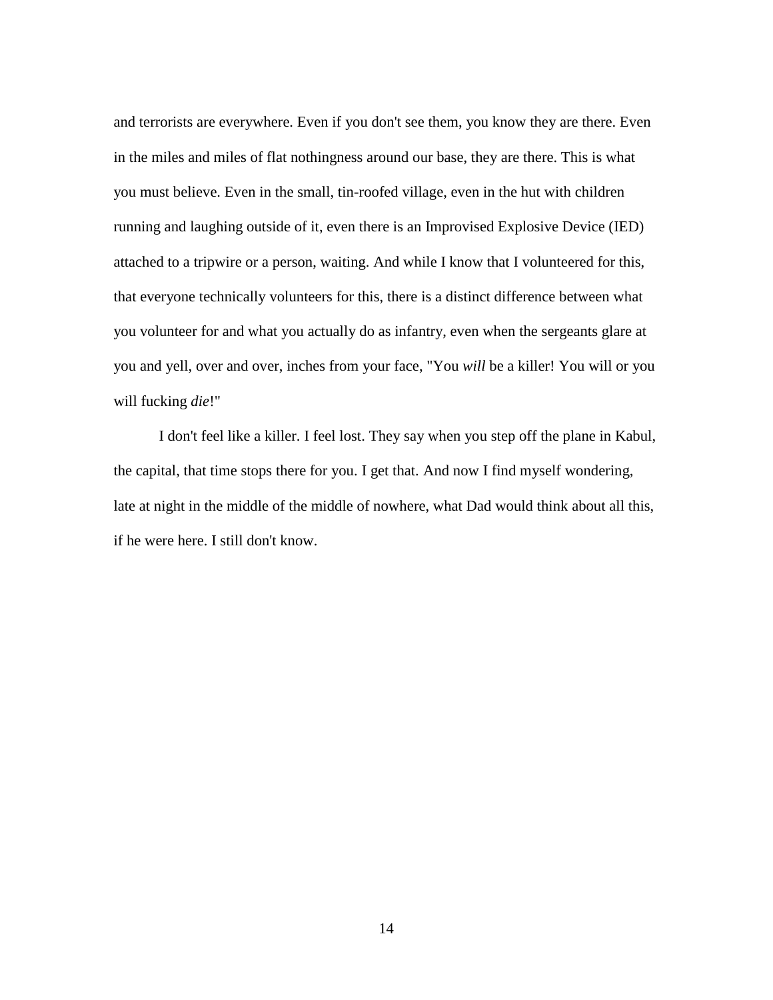and terrorists are everywhere. Even if you don't see them, you know they are there. Even in the miles and miles of flat nothingness around our base, they are there. This is what you must believe. Even in the small, tin-roofed village, even in the hut with children running and laughing outside of it, even there is an Improvised Explosive Device (IED) attached to a tripwire or a person, waiting. And while I know that I volunteered for this, that everyone technically volunteers for this, there is a distinct difference between what you volunteer for and what you actually do as infantry, even when the sergeants glare at you and yell, over and over, inches from your face, "You *will* be a killer! You will or you will fucking *die*!"

I don't feel like a killer. I feel lost. They say when you step off the plane in Kabul, the capital, that time stops there for you. I get that. And now I find myself wondering, late at night in the middle of the middle of nowhere, what Dad would think about all this, if he were here. I still don't know.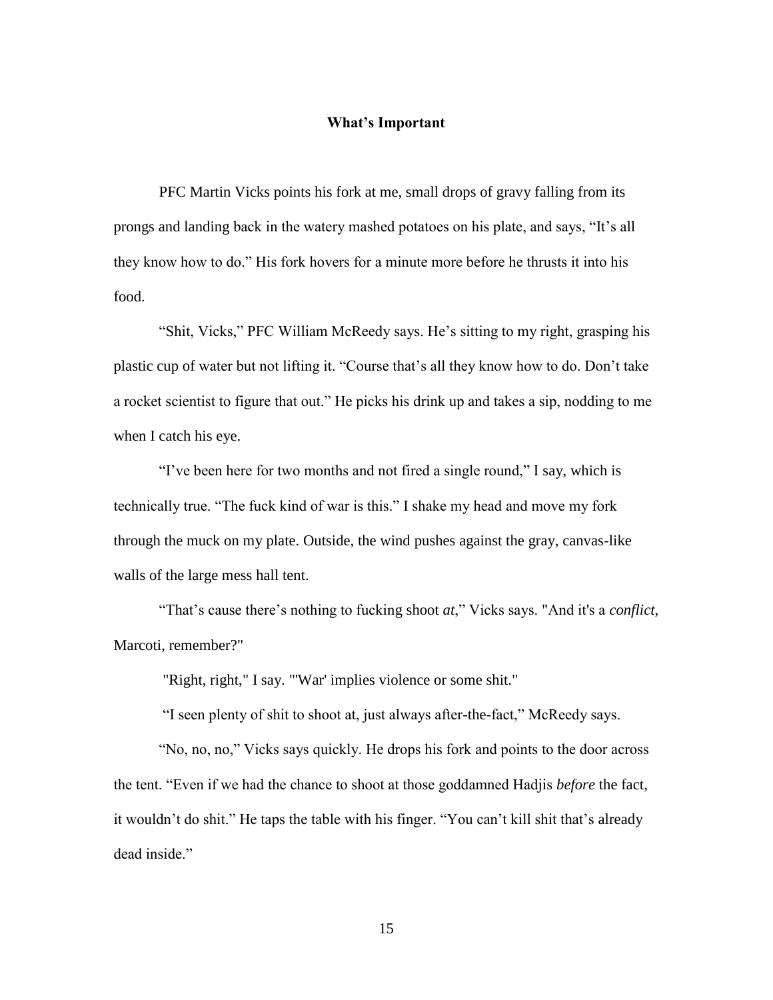### **What's Important**

PFC Martin Vicks points his fork at me, small drops of gravy falling from its prongs and landing back in the watery mashed potatoes on his plate, and says, "It's all they know how to do." His fork hovers for a minute more before he thrusts it into his food.

"Shit, Vicks," PFC William McReedy says. He's sitting to my right, grasping his plastic cup of water but not lifting it. "Course that's all they know how to do. Don't take a rocket scientist to figure that out." He picks his drink up and takes a sip, nodding to me when I catch his eye.

"I've been here for two months and not fired a single round," I say, which is technically true. "The fuck kind of war is this." I shake my head and move my fork through the muck on my plate. Outside, the wind pushes against the gray, canvas-like walls of the large mess hall tent.

"That's cause there's nothing to fucking shoot *at*," Vicks says. "And it's a *conflict*, Marcoti, remember?"

"Right, right," I say. "'War' implies violence or some shit."

"I seen plenty of shit to shoot at, just always after-the-fact," McReedy says.

"No, no, no," Vicks says quickly. He drops his fork and points to the door across the tent. "Even if we had the chance to shoot at those goddamned Hadjis *before* the fact, it wouldn't do shit." He taps the table with his finger. "You can't kill shit that's already dead inside."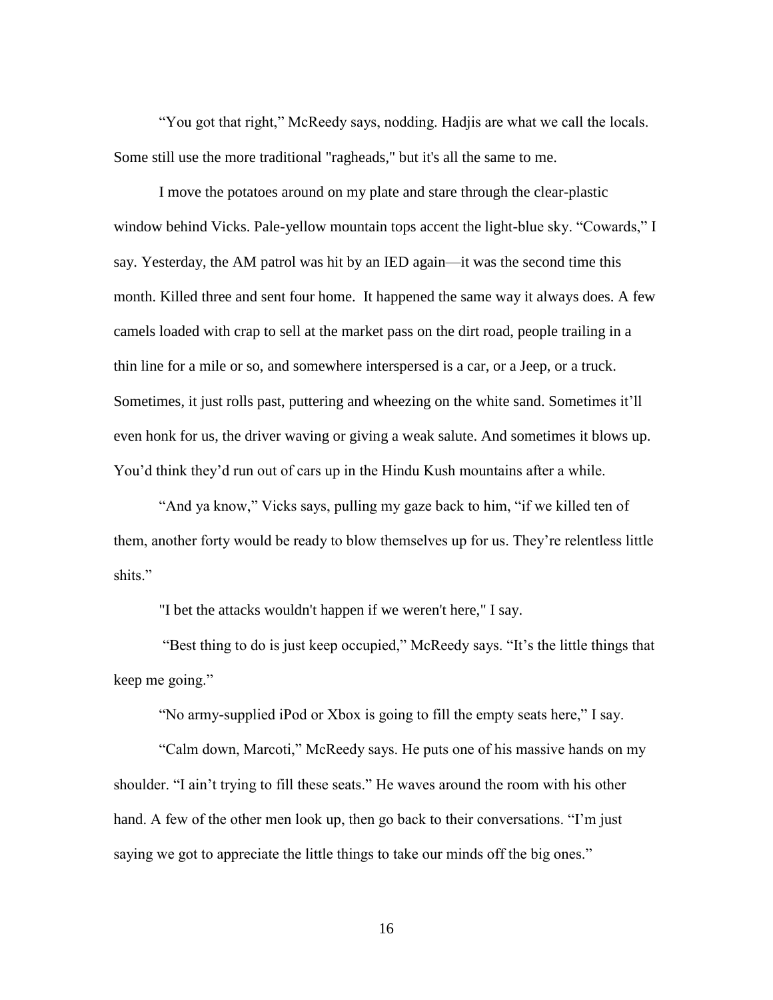"You got that right," McReedy says, nodding. Hadjis are what we call the locals. Some still use the more traditional "ragheads," but it's all the same to me.

I move the potatoes around on my plate and stare through the clear-plastic window behind Vicks. Pale-yellow mountain tops accent the light-blue sky. "Cowards," I say. Yesterday, the AM patrol was hit by an IED again—it was the second time this month. Killed three and sent four home. It happened the same way it always does. A few camels loaded with crap to sell at the market pass on the dirt road, people trailing in a thin line for a mile or so, and somewhere interspersed is a car, or a Jeep, or a truck. Sometimes, it just rolls past, puttering and wheezing on the white sand. Sometimes it'll even honk for us, the driver waving or giving a weak salute. And sometimes it blows up. You'd think they'd run out of cars up in the Hindu Kush mountains after a while.

"And ya know," Vicks says, pulling my gaze back to him, "if we killed ten of them, another forty would be ready to blow themselves up for us. They're relentless little shits."

"I bet the attacks wouldn't happen if we weren't here," I say.

"Best thing to do is just keep occupied," McReedy says. "It's the little things that keep me going."

"No army-supplied iPod or Xbox is going to fill the empty seats here," I say.

"Calm down, Marcoti," McReedy says. He puts one of his massive hands on my shoulder. "I ain't trying to fill these seats." He waves around the room with his other hand. A few of the other men look up, then go back to their conversations. "I'm just saying we got to appreciate the little things to take our minds off the big ones."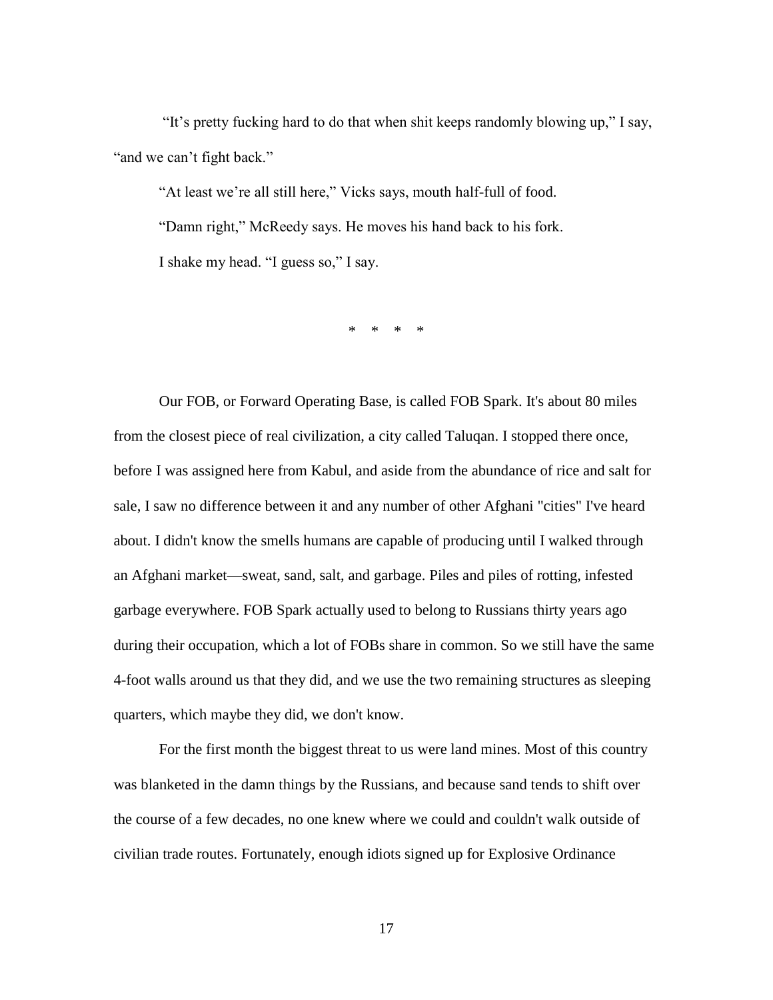"It's pretty fucking hard to do that when shit keeps randomly blowing up," I say, "and we can't fight back."

"At least we're all still here," Vicks says, mouth half-full of food. "Damn right," McReedy says. He moves his hand back to his fork. I shake my head. "I guess so," I say.

\* \* \* \*

Our FOB, or Forward Operating Base, is called FOB Spark. It's about 80 miles from the closest piece of real civilization, a city called Taluqan. I stopped there once, before I was assigned here from Kabul, and aside from the abundance of rice and salt for sale, I saw no difference between it and any number of other Afghani "cities" I've heard about. I didn't know the smells humans are capable of producing until I walked through an Afghani market—sweat, sand, salt, and garbage. Piles and piles of rotting, infested garbage everywhere. FOB Spark actually used to belong to Russians thirty years ago during their occupation, which a lot of FOBs share in common. So we still have the same 4-foot walls around us that they did, and we use the two remaining structures as sleeping quarters, which maybe they did, we don't know.

For the first month the biggest threat to us were land mines. Most of this country was blanketed in the damn things by the Russians, and because sand tends to shift over the course of a few decades, no one knew where we could and couldn't walk outside of civilian trade routes. Fortunately, enough idiots signed up for Explosive Ordinance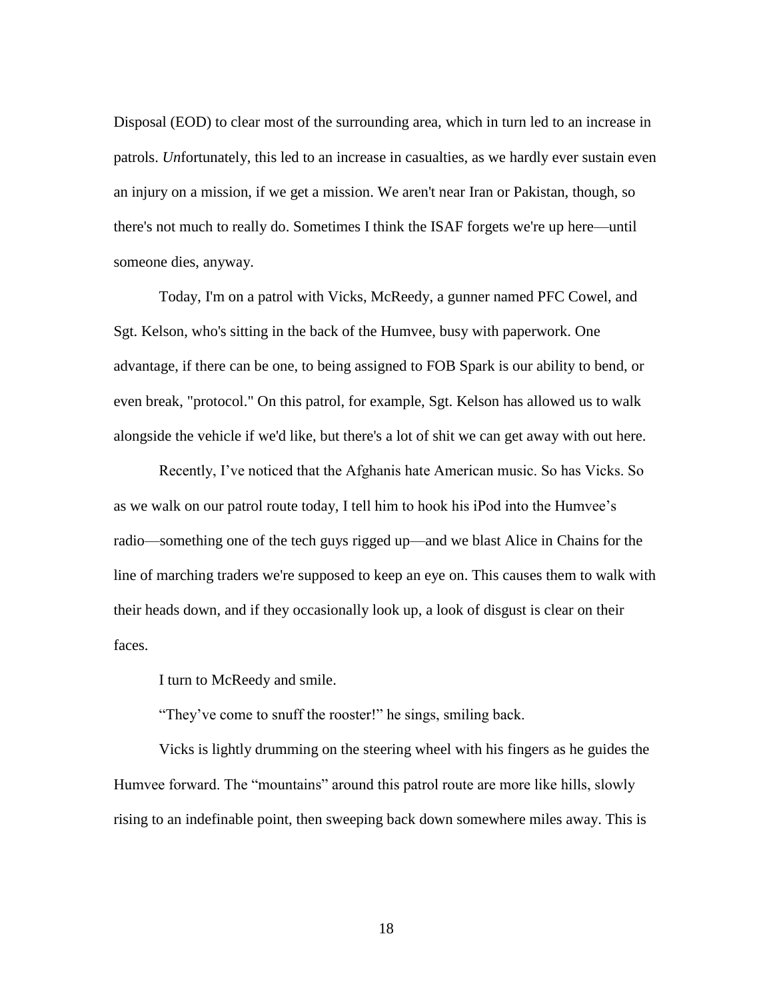Disposal (EOD) to clear most of the surrounding area, which in turn led to an increase in patrols. *Un*fortunately, this led to an increase in casualties, as we hardly ever sustain even an injury on a mission, if we get a mission. We aren't near Iran or Pakistan, though, so there's not much to really do. Sometimes I think the ISAF forgets we're up here—until someone dies, anyway.

Today, I'm on a patrol with Vicks, McReedy, a gunner named PFC Cowel, and Sgt. Kelson, who's sitting in the back of the Humvee, busy with paperwork. One advantage, if there can be one, to being assigned to FOB Spark is our ability to bend, or even break, "protocol." On this patrol, for example, Sgt. Kelson has allowed us to walk alongside the vehicle if we'd like, but there's a lot of shit we can get away with out here.

Recently, I've noticed that the Afghanis hate American music. So has Vicks. So as we walk on our patrol route today, I tell him to hook his iPod into the Humvee's radio—something one of the tech guys rigged up—and we blast Alice in Chains for the line of marching traders we're supposed to keep an eye on. This causes them to walk with their heads down, and if they occasionally look up, a look of disgust is clear on their faces.

I turn to McReedy and smile.

"They've come to snuff the rooster!" he sings, smiling back.

Vicks is lightly drumming on the steering wheel with his fingers as he guides the Humvee forward. The "mountains" around this patrol route are more like hills, slowly rising to an indefinable point, then sweeping back down somewhere miles away. This is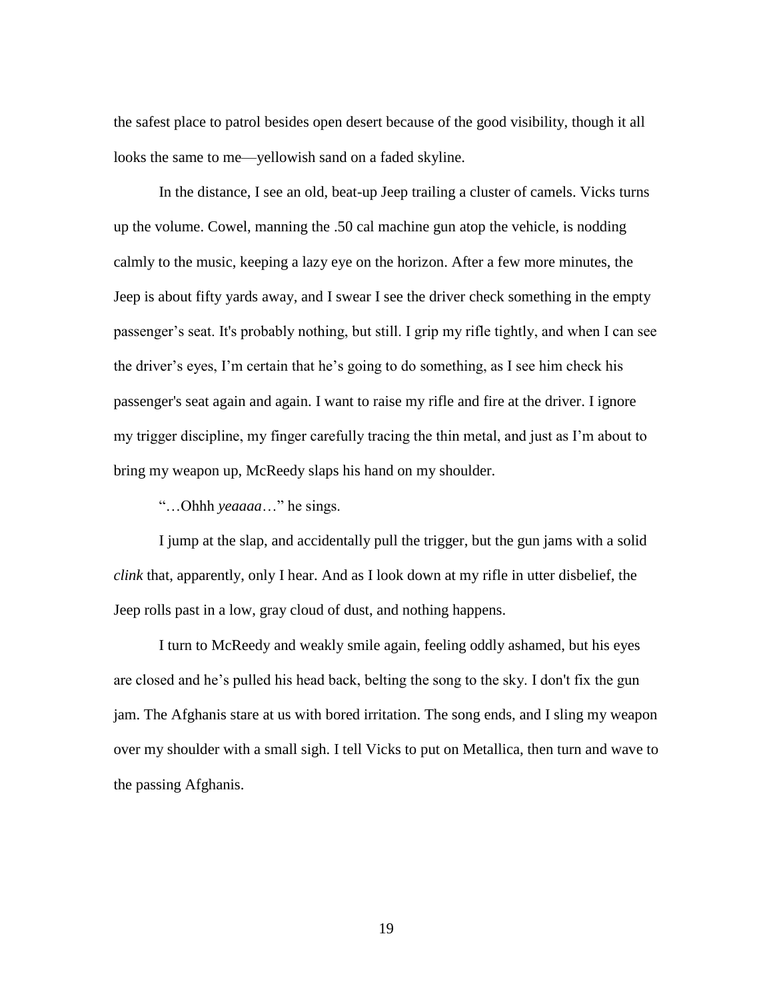the safest place to patrol besides open desert because of the good visibility, though it all looks the same to me—yellowish sand on a faded skyline.

In the distance, I see an old, beat-up Jeep trailing a cluster of camels. Vicks turns up the volume. Cowel, manning the .50 cal machine gun atop the vehicle, is nodding calmly to the music, keeping a lazy eye on the horizon. After a few more minutes, the Jeep is about fifty yards away, and I swear I see the driver check something in the empty passenger's seat. It's probably nothing, but still. I grip my rifle tightly, and when I can see the driver's eyes, I'm certain that he's going to do something, as I see him check his passenger's seat again and again. I want to raise my rifle and fire at the driver. I ignore my trigger discipline, my finger carefully tracing the thin metal, and just as I'm about to bring my weapon up, McReedy slaps his hand on my shoulder.

"…Ohhh *yeaaaa*…" he sings.

I jump at the slap, and accidentally pull the trigger, but the gun jams with a solid *clink* that, apparently, only I hear. And as I look down at my rifle in utter disbelief, the Jeep rolls past in a low, gray cloud of dust, and nothing happens.

I turn to McReedy and weakly smile again, feeling oddly ashamed, but his eyes are closed and he's pulled his head back, belting the song to the sky. I don't fix the gun jam. The Afghanis stare at us with bored irritation. The song ends, and I sling my weapon over my shoulder with a small sigh. I tell Vicks to put on Metallica, then turn and wave to the passing Afghanis.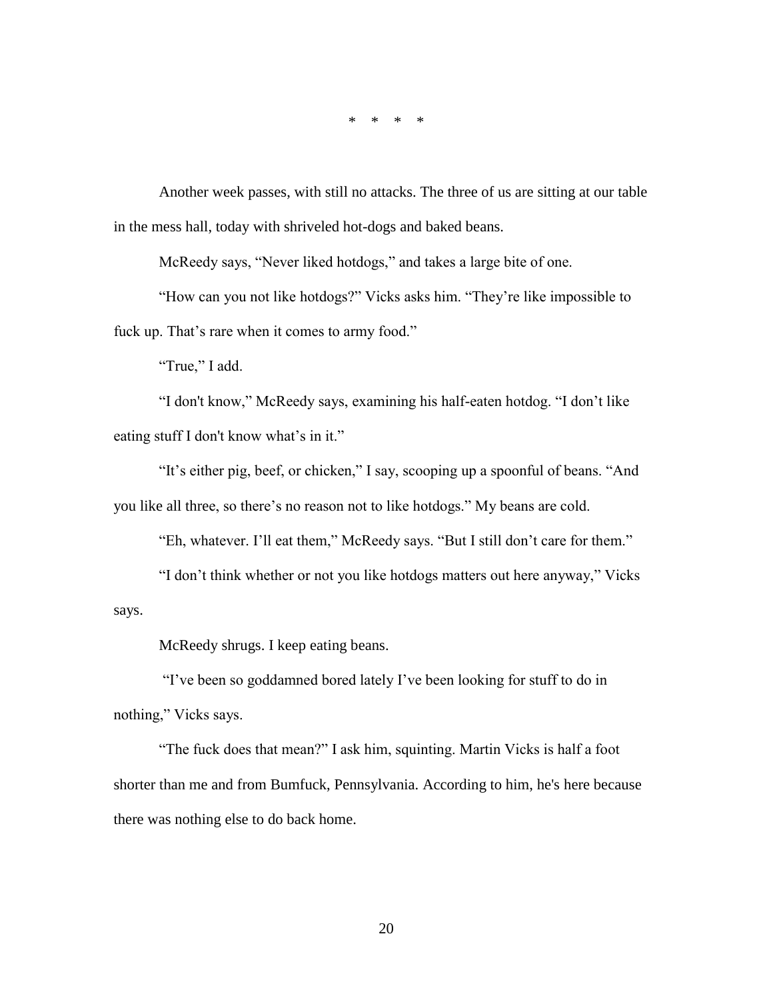\* \* \* \*

Another week passes, with still no attacks. The three of us are sitting at our table in the mess hall, today with shriveled hot-dogs and baked beans.

McReedy says, "Never liked hotdogs," and takes a large bite of one.

"How can you not like hotdogs?" Vicks asks him. "They're like impossible to fuck up. That's rare when it comes to army food."

"True," I add.

"I don't know," McReedy says, examining his half-eaten hotdog. "I don't like eating stuff I don't know what's in it."

"It's either pig, beef, or chicken," I say, scooping up a spoonful of beans. "And you like all three, so there's no reason not to like hotdogs." My beans are cold.

"Eh, whatever. I'll eat them," McReedy says. "But I still don't care for them."

"I don't think whether or not you like hotdogs matters out here anyway," Vicks says.

McReedy shrugs. I keep eating beans.

"I've been so goddamned bored lately I've been looking for stuff to do in nothing," Vicks says.

"The fuck does that mean?" I ask him, squinting. Martin Vicks is half a foot shorter than me and from Bumfuck, Pennsylvania. According to him, he's here because there was nothing else to do back home.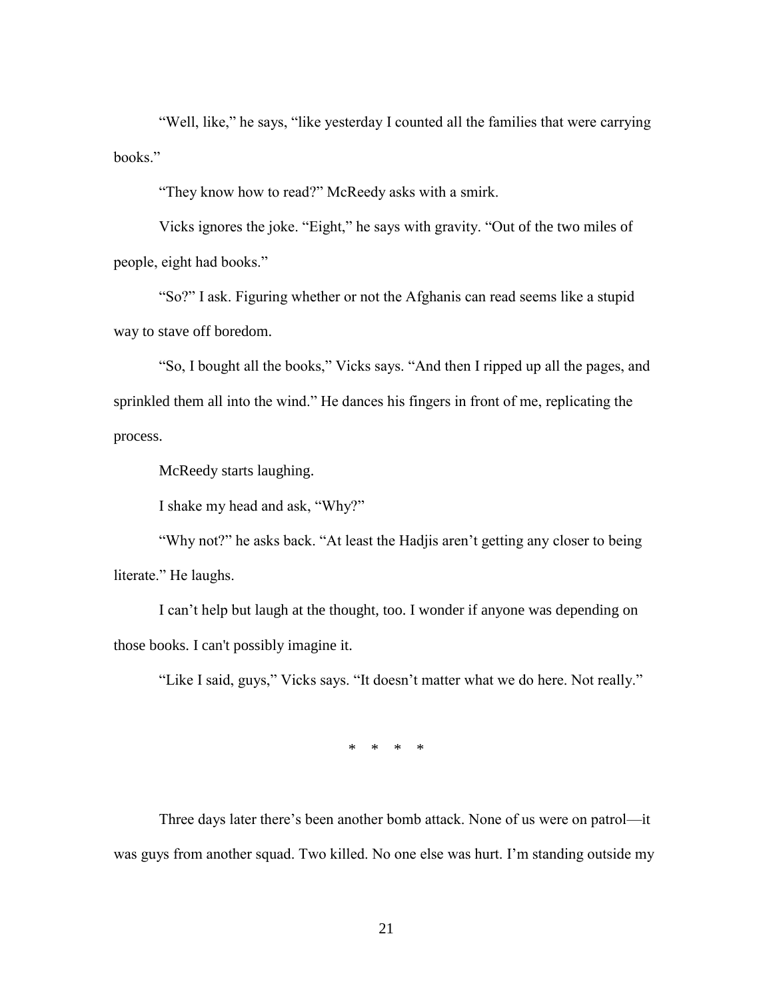"Well, like," he says, "like yesterday I counted all the families that were carrying books."

"They know how to read?" McReedy asks with a smirk.

Vicks ignores the joke. "Eight," he says with gravity. "Out of the two miles of people, eight had books."

"So?" I ask. Figuring whether or not the Afghanis can read seems like a stupid way to stave off boredom.

"So, I bought all the books," Vicks says. "And then I ripped up all the pages, and sprinkled them all into the wind." He dances his fingers in front of me, replicating the process.

McReedy starts laughing.

I shake my head and ask, "Why?"

"Why not?" he asks back. "At least the Hadjis aren't getting any closer to being literate." He laughs.

I can't help but laugh at the thought, too. I wonder if anyone was depending on those books. I can't possibly imagine it.

"Like I said, guys," Vicks says. "It doesn't matter what we do here. Not really."

\* \* \* \*

Three days later there's been another bomb attack. None of us were on patrol—it was guys from another squad. Two killed. No one else was hurt. I'm standing outside my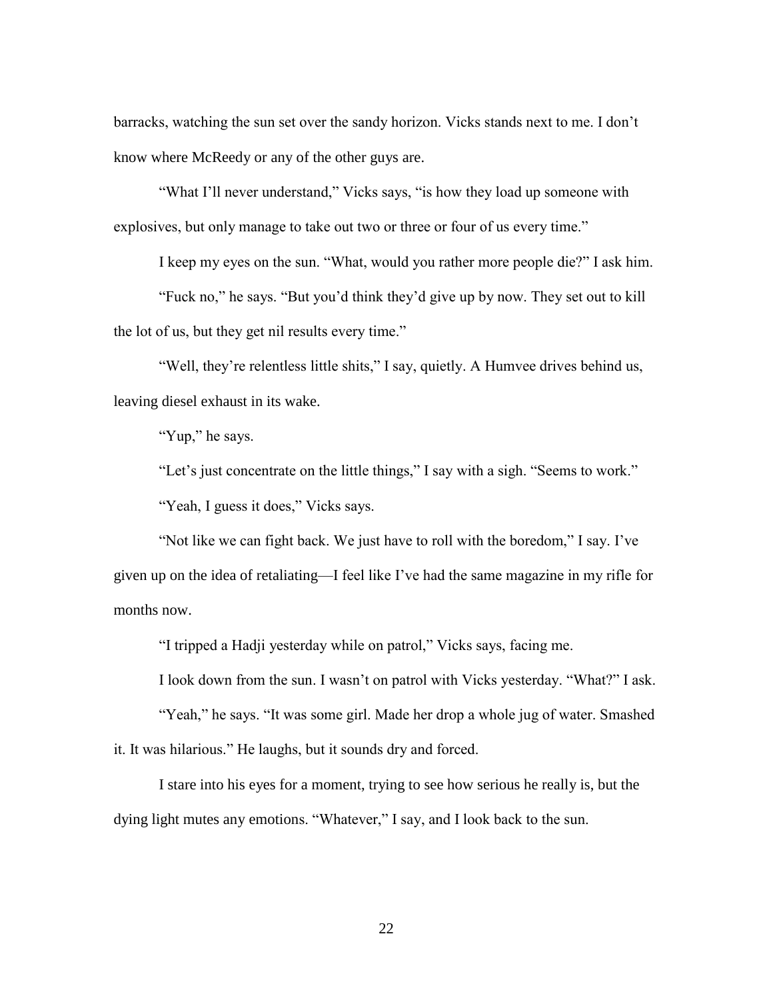barracks, watching the sun set over the sandy horizon. Vicks stands next to me. I don't know where McReedy or any of the other guys are.

"What I'll never understand," Vicks says, "is how they load up someone with explosives, but only manage to take out two or three or four of us every time."

I keep my eyes on the sun. "What, would you rather more people die?" I ask him.

"Fuck no," he says. "But you'd think they'd give up by now. They set out to kill the lot of us, but they get nil results every time."

"Well, they're relentless little shits," I say, quietly. A Humvee drives behind us, leaving diesel exhaust in its wake.

"Yup," he says.

"Let's just concentrate on the little things," I say with a sigh. "Seems to work." "Yeah, I guess it does," Vicks says.

"Not like we can fight back. We just have to roll with the boredom," I say. I've given up on the idea of retaliating—I feel like I've had the same magazine in my rifle for months now.

"I tripped a Hadji yesterday while on patrol," Vicks says, facing me.

I look down from the sun. I wasn't on patrol with Vicks yesterday. "What?" I ask.

"Yeah," he says. "It was some girl. Made her drop a whole jug of water. Smashed it. It was hilarious." He laughs, but it sounds dry and forced.

I stare into his eyes for a moment, trying to see how serious he really is, but the dying light mutes any emotions. "Whatever," I say, and I look back to the sun.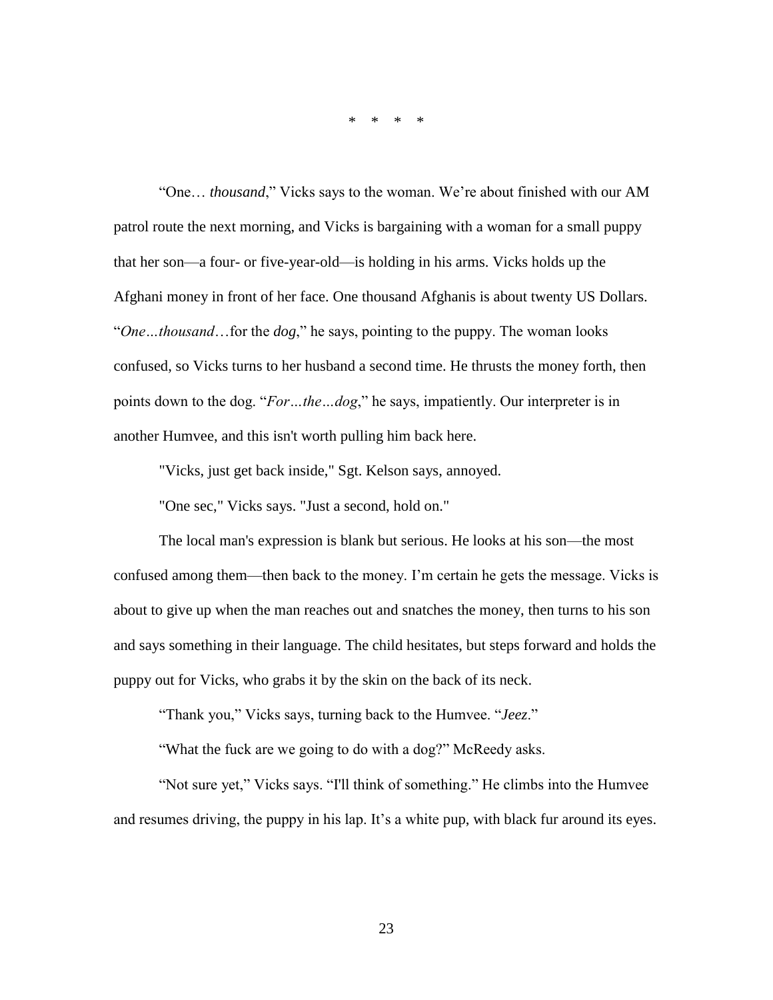\* \* \* \*

"One… *thousand*," Vicks says to the woman. We're about finished with our AM patrol route the next morning, and Vicks is bargaining with a woman for a small puppy that her son—a four- or five-year-old—is holding in his arms. Vicks holds up the Afghani money in front of her face. One thousand Afghanis is about twenty US Dollars. "*One…thousand*…for the *dog*," he says, pointing to the puppy. The woman looks confused, so Vicks turns to her husband a second time. He thrusts the money forth, then points down to the dog. "*For…the…dog*," he says, impatiently. Our interpreter is in another Humvee, and this isn't worth pulling him back here.

"Vicks, just get back inside," Sgt. Kelson says, annoyed.

"One sec," Vicks says. "Just a second, hold on."

The local man's expression is blank but serious. He looks at his son—the most confused among them—then back to the money. I'm certain he gets the message. Vicks is about to give up when the man reaches out and snatches the money, then turns to his son and says something in their language. The child hesitates, but steps forward and holds the puppy out for Vicks, who grabs it by the skin on the back of its neck.

"Thank you," Vicks says, turning back to the Humvee. "*Jeez*."

"What the fuck are we going to do with a dog?" McReedy asks.

"Not sure yet," Vicks says. "I'll think of something." He climbs into the Humvee and resumes driving, the puppy in his lap. It's a white pup, with black fur around its eyes.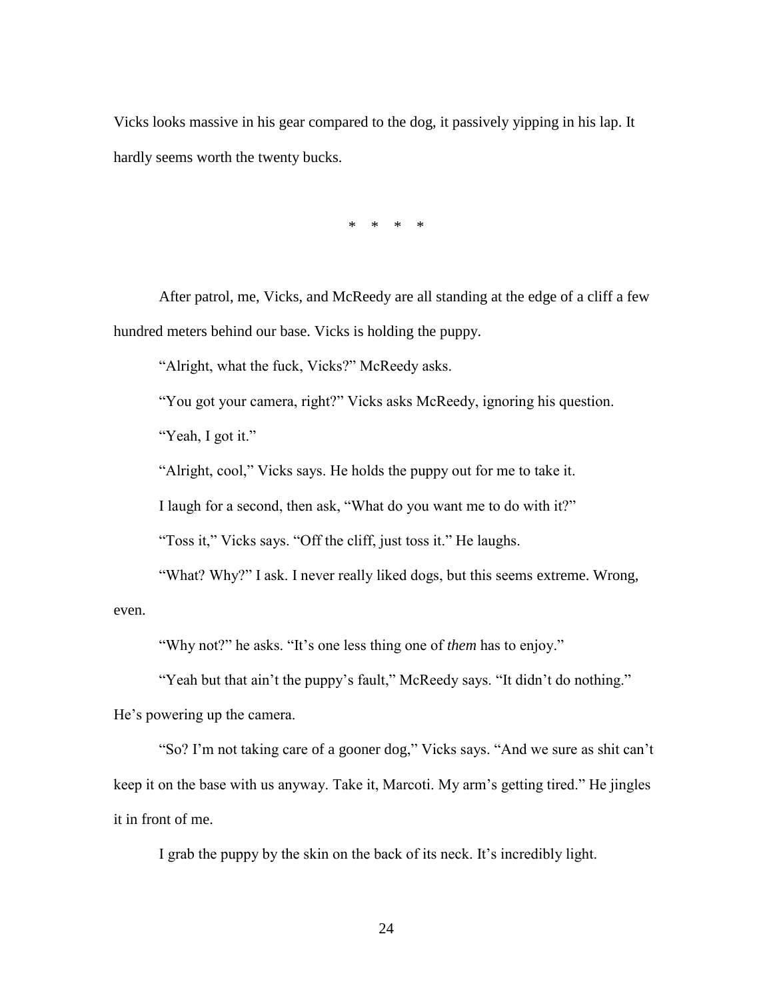Vicks looks massive in his gear compared to the dog, it passively yipping in his lap. It hardly seems worth the twenty bucks.

\* \* \* \*

After patrol, me, Vicks, and McReedy are all standing at the edge of a cliff a few hundred meters behind our base. Vicks is holding the puppy.

"Alright, what the fuck, Vicks?" McReedy asks.

"You got your camera, right?" Vicks asks McReedy, ignoring his question.

"Yeah, I got it."

"Alright, cool," Vicks says. He holds the puppy out for me to take it.

I laugh for a second, then ask, "What do you want me to do with it?"

"Toss it," Vicks says. "Off the cliff, just toss it." He laughs.

"What? Why?" I ask. I never really liked dogs, but this seems extreme. Wrong,

even.

"Why not?" he asks. "It's one less thing one of *them* has to enjoy."

"Yeah but that ain't the puppy's fault," McReedy says. "It didn't do nothing." He's powering up the camera.

"So? I'm not taking care of a gooner dog," Vicks says. "And we sure as shit can't keep it on the base with us anyway. Take it, Marcoti. My arm's getting tired." He jingles it in front of me.

I grab the puppy by the skin on the back of its neck. It's incredibly light.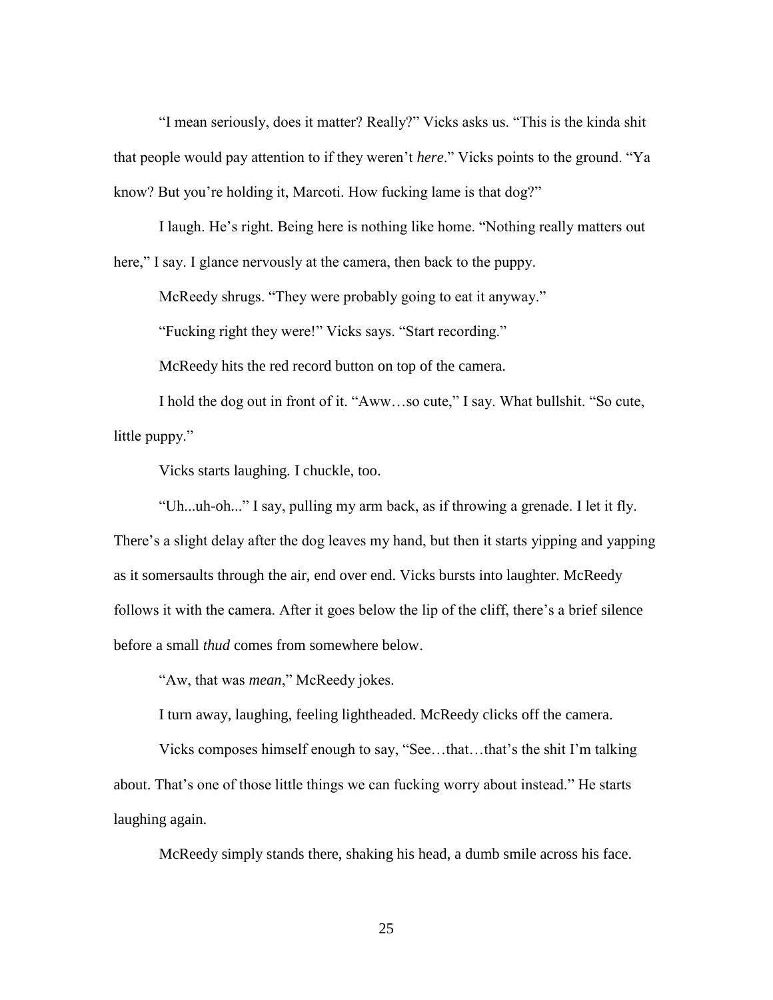"I mean seriously, does it matter? Really?" Vicks asks us. "This is the kinda shit that people would pay attention to if they weren't *here*." Vicks points to the ground. "Ya know? But you're holding it, Marcoti. How fucking lame is that dog?"

I laugh. He's right. Being here is nothing like home. "Nothing really matters out here," I say. I glance nervously at the camera, then back to the puppy.

McReedy shrugs. "They were probably going to eat it anyway."

"Fucking right they were!" Vicks says. "Start recording."

McReedy hits the red record button on top of the camera.

I hold the dog out in front of it. "Aww…so cute," I say. What bullshit. "So cute, little puppy."

Vicks starts laughing. I chuckle, too.

"Uh...uh-oh..." I say, pulling my arm back, as if throwing a grenade. I let it fly. There's a slight delay after the dog leaves my hand, but then it starts yipping and yapping as it somersaults through the air, end over end. Vicks bursts into laughter. McReedy follows it with the camera. After it goes below the lip of the cliff, there's a brief silence before a small *thud* comes from somewhere below.

"Aw, that was *mean*," McReedy jokes.

I turn away, laughing, feeling lightheaded. McReedy clicks off the camera.

Vicks composes himself enough to say, "See…that…that's the shit I'm talking about. That's one of those little things we can fucking worry about instead." He starts laughing again.

McReedy simply stands there, shaking his head, a dumb smile across his face.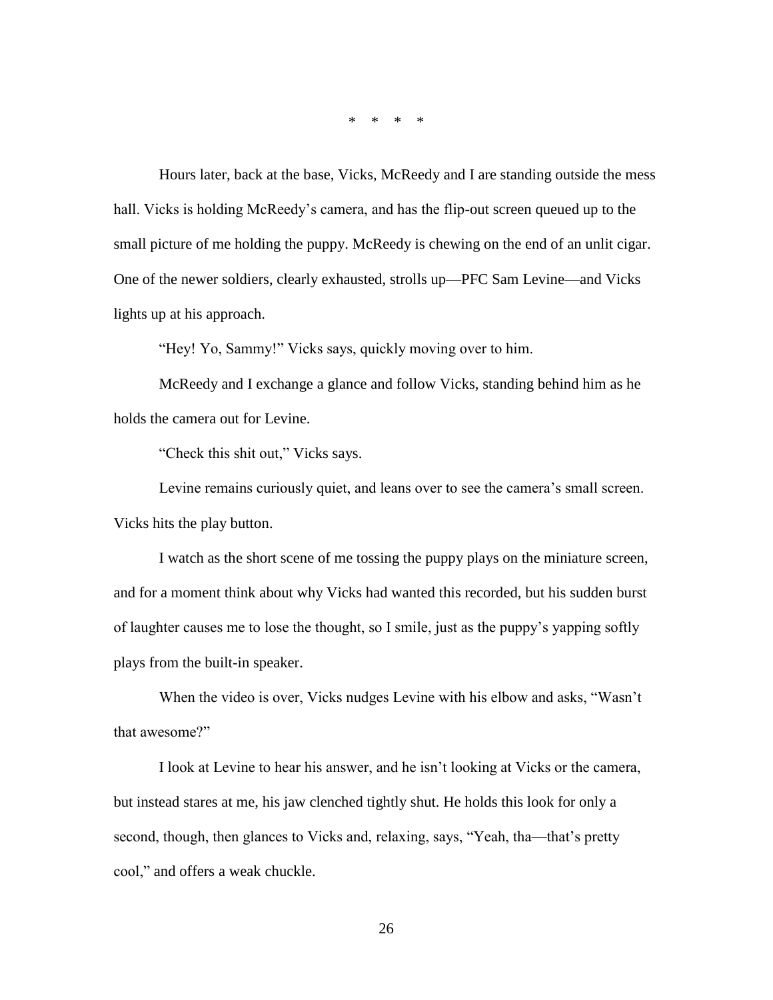\* \* \* \*

Hours later, back at the base, Vicks, McReedy and I are standing outside the mess hall. Vicks is holding McReedy's camera, and has the flip-out screen queued up to the small picture of me holding the puppy. McReedy is chewing on the end of an unlit cigar. One of the newer soldiers, clearly exhausted, strolls up—PFC Sam Levine—and Vicks lights up at his approach.

"Hey! Yo, Sammy!" Vicks says, quickly moving over to him.

McReedy and I exchange a glance and follow Vicks, standing behind him as he holds the camera out for Levine.

"Check this shit out," Vicks says.

Levine remains curiously quiet, and leans over to see the camera's small screen. Vicks hits the play button.

I watch as the short scene of me tossing the puppy plays on the miniature screen, and for a moment think about why Vicks had wanted this recorded, but his sudden burst of laughter causes me to lose the thought, so I smile, just as the puppy's yapping softly plays from the built-in speaker.

When the video is over, Vicks nudges Levine with his elbow and asks, "Wasn't that awesome?"

I look at Levine to hear his answer, and he isn't looking at Vicks or the camera, but instead stares at me, his jaw clenched tightly shut. He holds this look for only a second, though, then glances to Vicks and, relaxing, says, "Yeah, tha—that's pretty cool," and offers a weak chuckle.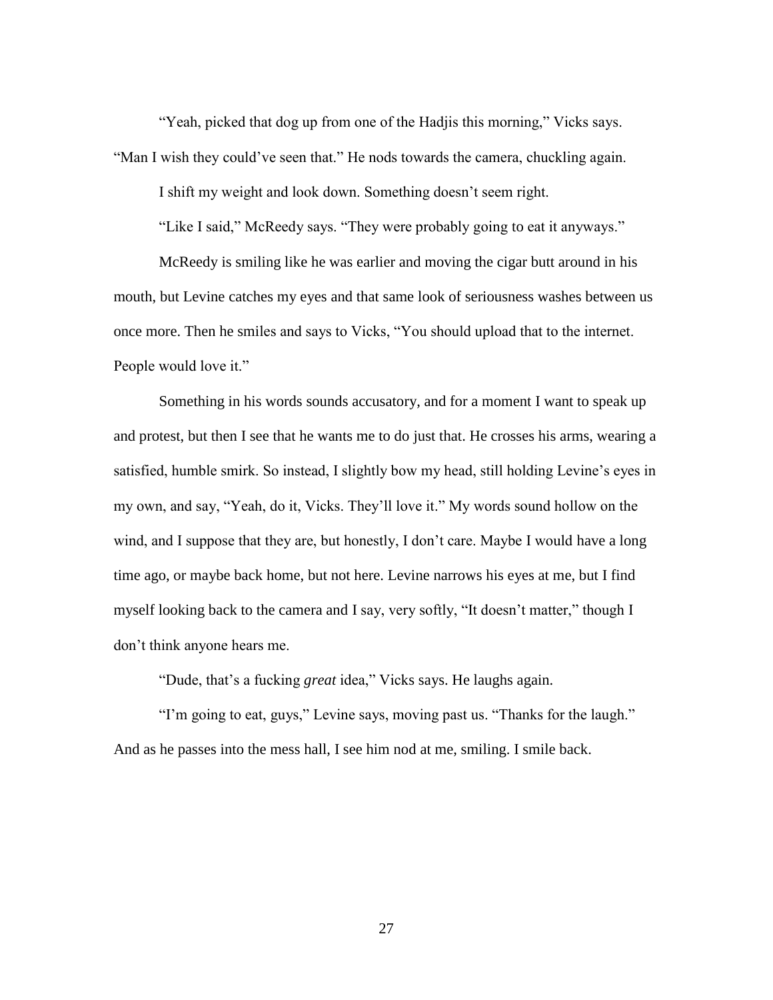"Yeah, picked that dog up from one of the Hadjis this morning," Vicks says. "Man I wish they could've seen that." He nods towards the camera, chuckling again.

I shift my weight and look down. Something doesn't seem right.

"Like I said," McReedy says. "They were probably going to eat it anyways."

McReedy is smiling like he was earlier and moving the cigar butt around in his mouth, but Levine catches my eyes and that same look of seriousness washes between us once more. Then he smiles and says to Vicks, "You should upload that to the internet. People would love it."

Something in his words sounds accusatory, and for a moment I want to speak up and protest, but then I see that he wants me to do just that. He crosses his arms, wearing a satisfied, humble smirk. So instead, I slightly bow my head, still holding Levine's eyes in my own, and say, "Yeah, do it, Vicks. They'll love it." My words sound hollow on the wind, and I suppose that they are, but honestly, I don't care. Maybe I would have a long time ago, or maybe back home, but not here. Levine narrows his eyes at me, but I find myself looking back to the camera and I say, very softly, "It doesn't matter," though I don't think anyone hears me.

"Dude, that's a fucking *great* idea," Vicks says. He laughs again.

"I'm going to eat, guys," Levine says, moving past us. "Thanks for the laugh." And as he passes into the mess hall, I see him nod at me, smiling. I smile back.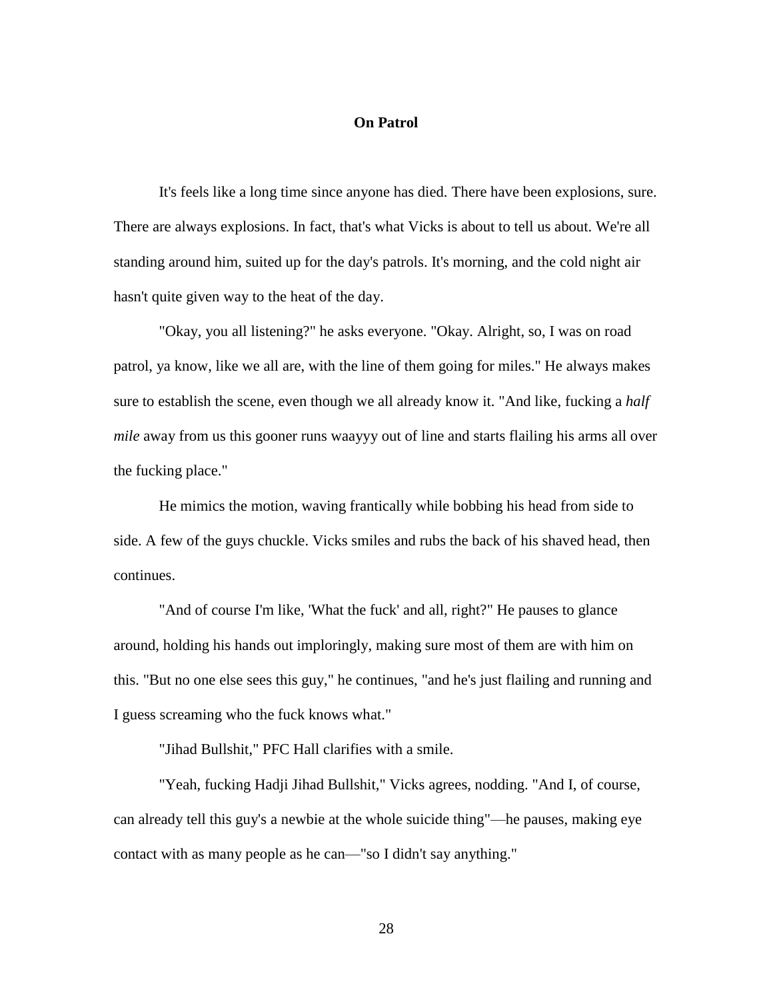### **On Patrol**

It's feels like a long time since anyone has died. There have been explosions, sure. There are always explosions. In fact, that's what Vicks is about to tell us about. We're all standing around him, suited up for the day's patrols. It's morning, and the cold night air hasn't quite given way to the heat of the day.

"Okay, you all listening?" he asks everyone. "Okay. Alright, so, I was on road patrol, ya know, like we all are, with the line of them going for miles." He always makes sure to establish the scene, even though we all already know it. "And like, fucking a *half mile* away from us this gooner runs waayyy out of line and starts flailing his arms all over the fucking place."

He mimics the motion, waving frantically while bobbing his head from side to side. A few of the guys chuckle. Vicks smiles and rubs the back of his shaved head, then continues.

"And of course I'm like, 'What the fuck' and all, right?" He pauses to glance around, holding his hands out imploringly, making sure most of them are with him on this. "But no one else sees this guy," he continues, "and he's just flailing and running and I guess screaming who the fuck knows what."

"Jihad Bullshit," PFC Hall clarifies with a smile.

"Yeah, fucking Hadji Jihad Bullshit," Vicks agrees, nodding. "And I, of course, can already tell this guy's a newbie at the whole suicide thing"—he pauses, making eye contact with as many people as he can—"so I didn't say anything."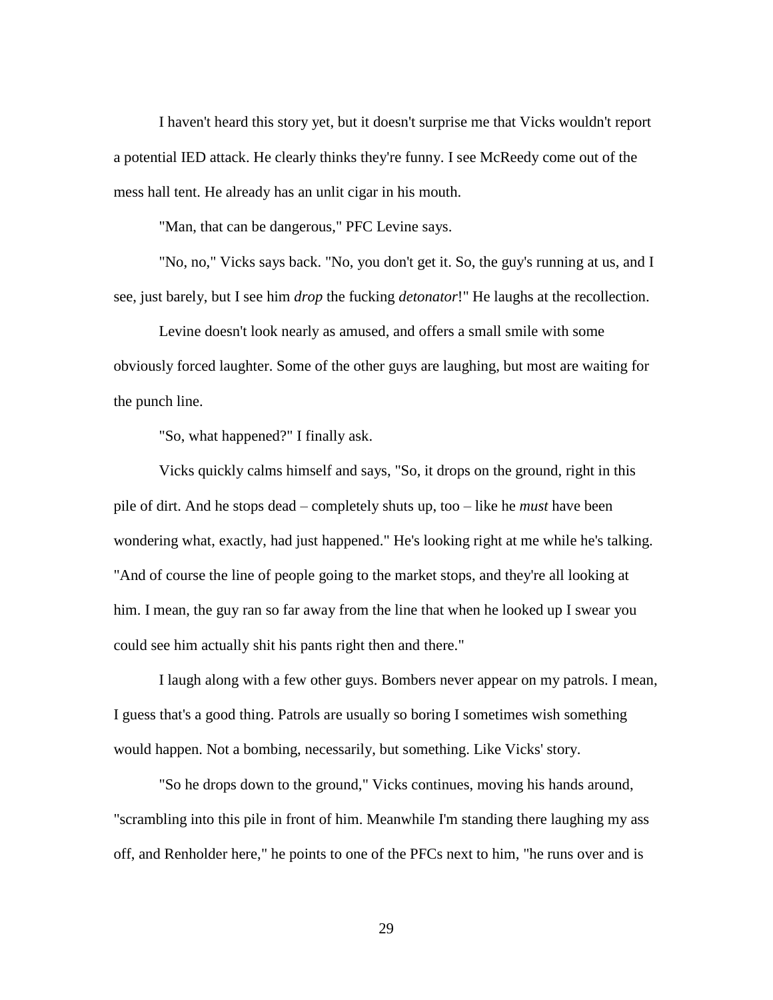I haven't heard this story yet, but it doesn't surprise me that Vicks wouldn't report a potential IED attack. He clearly thinks they're funny. I see McReedy come out of the mess hall tent. He already has an unlit cigar in his mouth.

"Man, that can be dangerous," PFC Levine says.

"No, no," Vicks says back. "No, you don't get it. So, the guy's running at us, and I see, just barely, but I see him *drop* the fucking *detonator*!" He laughs at the recollection.

Levine doesn't look nearly as amused, and offers a small smile with some obviously forced laughter. Some of the other guys are laughing, but most are waiting for the punch line.

"So, what happened?" I finally ask.

Vicks quickly calms himself and says, "So, it drops on the ground, right in this pile of dirt. And he stops dead – completely shuts up, too – like he *must* have been wondering what, exactly, had just happened." He's looking right at me while he's talking. "And of course the line of people going to the market stops, and they're all looking at him. I mean, the guy ran so far away from the line that when he looked up I swear you could see him actually shit his pants right then and there."

I laugh along with a few other guys. Bombers never appear on my patrols. I mean, I guess that's a good thing. Patrols are usually so boring I sometimes wish something would happen. Not a bombing, necessarily, but something. Like Vicks' story.

"So he drops down to the ground," Vicks continues, moving his hands around, "scrambling into this pile in front of him. Meanwhile I'm standing there laughing my ass off, and Renholder here," he points to one of the PFCs next to him, "he runs over and is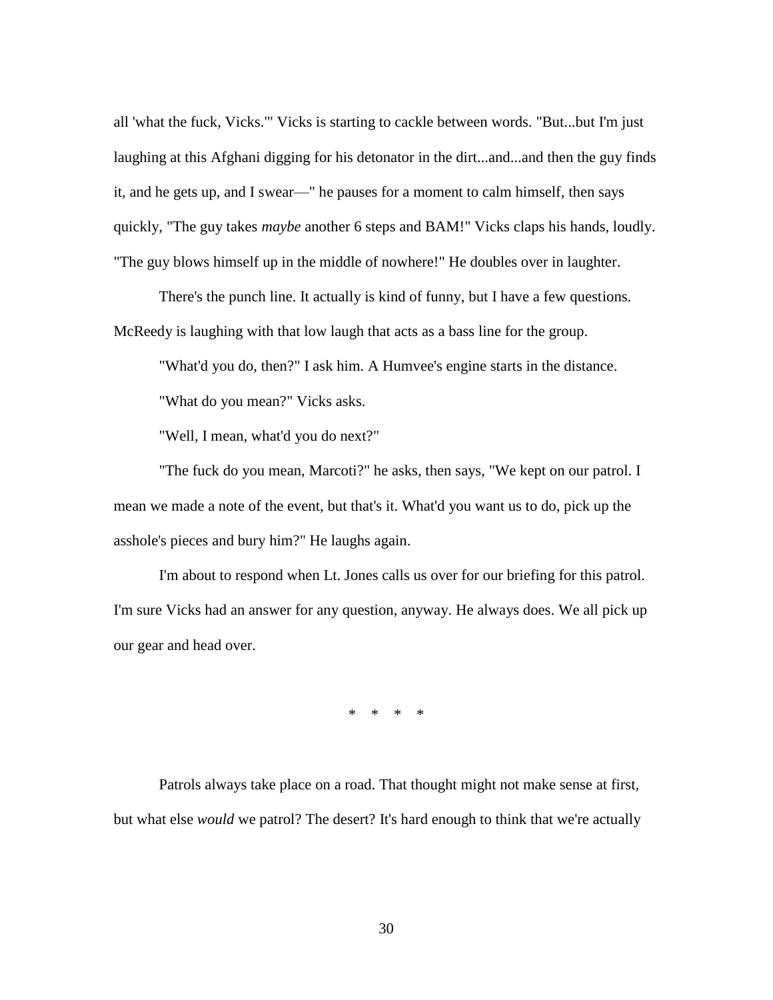all 'what the fuck, Vicks.'" Vicks is starting to cackle between words. "But...but I'm just laughing at this Afghani digging for his detonator in the dirt...and...and then the guy finds it, and he gets up, and I swear—" he pauses for a moment to calm himself, then says quickly, "The guy takes *maybe* another 6 steps and BAM!" Vicks claps his hands, loudly. "The guy blows himself up in the middle of nowhere!" He doubles over in laughter.

There's the punch line. It actually is kind of funny, but I have a few questions. McReedy is laughing with that low laugh that acts as a bass line for the group.

"What'd you do, then?" I ask him. A Humvee's engine starts in the distance.

"What do you mean?" Vicks asks.

"Well, I mean, what'd you do next?"

"The fuck do you mean, Marcoti?" he asks, then says, "We kept on our patrol. I mean we made a note of the event, but that's it. What'd you want us to do, pick up the asshole's pieces and bury him?" He laughs again.

I'm about to respond when Lt. Jones calls us over for our briefing for this patrol. I'm sure Vicks had an answer for any question, anyway. He always does. We all pick up our gear and head over.

\* \* \* \*

Patrols always take place on a road. That thought might not make sense at first, but what else *would* we patrol? The desert? It's hard enough to think that we're actually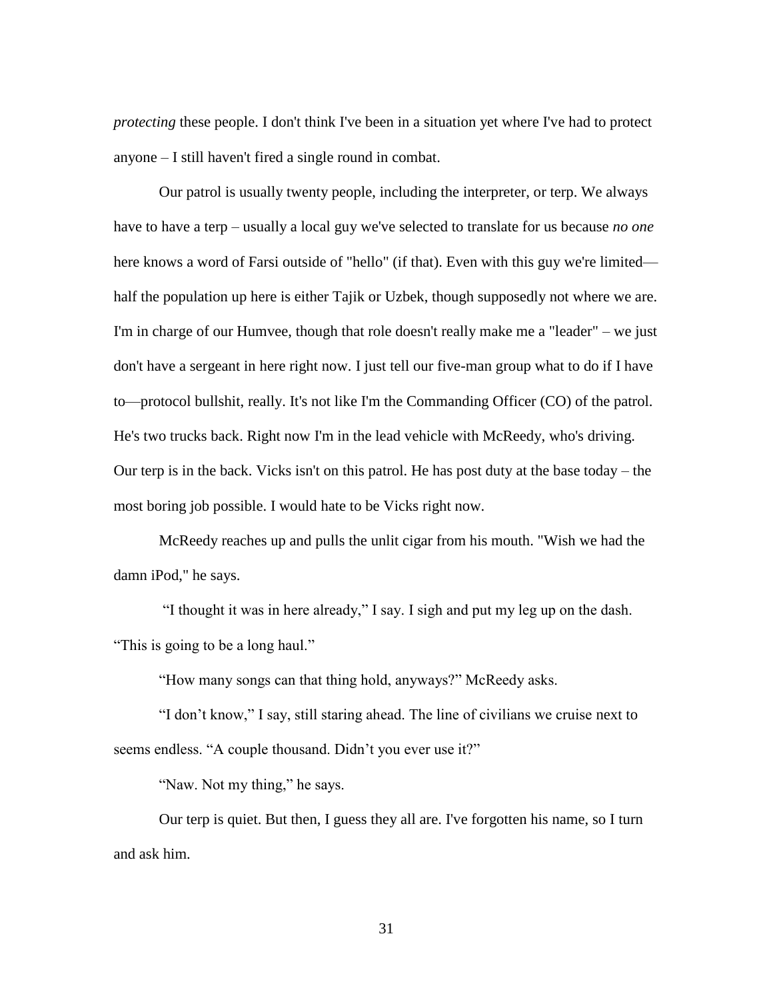*protecting* these people. I don't think I've been in a situation yet where I've had to protect anyone – I still haven't fired a single round in combat.

Our patrol is usually twenty people, including the interpreter, or terp. We always have to have a terp – usually a local guy we've selected to translate for us because *no one* here knows a word of Farsi outside of "hello" (if that). Even with this guy we're limited half the population up here is either Tajik or Uzbek, though supposedly not where we are. I'm in charge of our Humvee, though that role doesn't really make me a "leader" – we just don't have a sergeant in here right now. I just tell our five-man group what to do if I have to—protocol bullshit, really. It's not like I'm the Commanding Officer (CO) of the patrol. He's two trucks back. Right now I'm in the lead vehicle with McReedy, who's driving. Our terp is in the back. Vicks isn't on this patrol. He has post duty at the base today – the most boring job possible. I would hate to be Vicks right now.

McReedy reaches up and pulls the unlit cigar from his mouth. "Wish we had the damn iPod," he says.

"I thought it was in here already," I say. I sigh and put my leg up on the dash. "This is going to be a long haul."

"How many songs can that thing hold, anyways?" McReedy asks.

"I don't know," I say, still staring ahead. The line of civilians we cruise next to seems endless. "A couple thousand. Didn't you ever use it?"

"Naw. Not my thing," he says.

Our terp is quiet. But then, I guess they all are. I've forgotten his name, so I turn and ask him.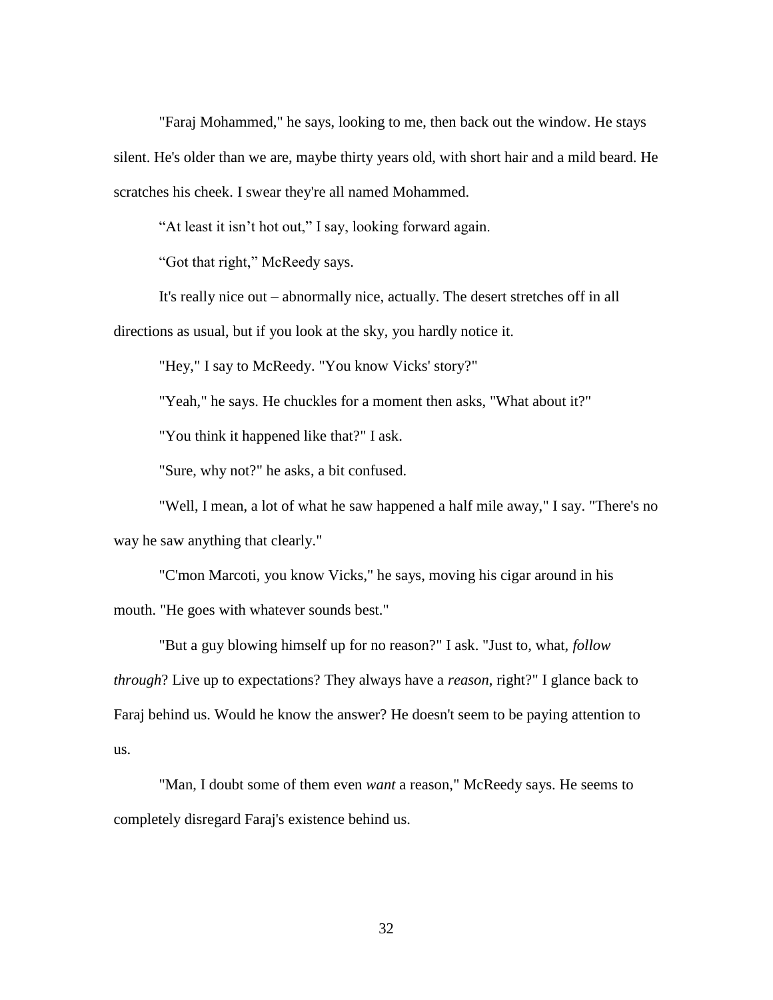"Faraj Mohammed," he says, looking to me, then back out the window. He stays silent. He's older than we are, maybe thirty years old, with short hair and a mild beard. He scratches his cheek. I swear they're all named Mohammed.

"At least it isn't hot out," I say, looking forward again.

"Got that right," McReedy says.

It's really nice out – abnormally nice, actually. The desert stretches off in all

directions as usual, but if you look at the sky, you hardly notice it.

"Hey," I say to McReedy. "You know Vicks' story?"

"Yeah," he says. He chuckles for a moment then asks, "What about it?"

"You think it happened like that?" I ask.

"Sure, why not?" he asks, a bit confused.

"Well, I mean, a lot of what he saw happened a half mile away," I say. "There's no way he saw anything that clearly."

"C'mon Marcoti, you know Vicks," he says, moving his cigar around in his mouth. "He goes with whatever sounds best."

"But a guy blowing himself up for no reason?" I ask. "Just to, what, *follow through*? Live up to expectations? They always have a *reason*, right?" I glance back to Faraj behind us. Would he know the answer? He doesn't seem to be paying attention to us.

"Man, I doubt some of them even *want* a reason," McReedy says. He seems to completely disregard Faraj's existence behind us.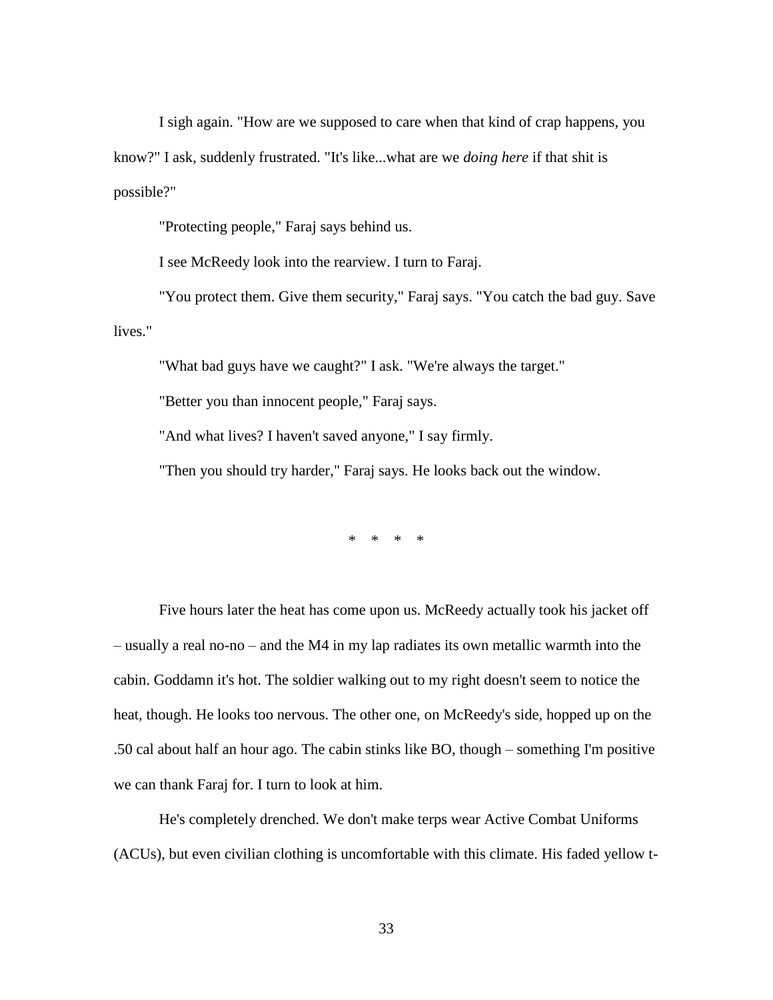I sigh again. "How are we supposed to care when that kind of crap happens, you know?" I ask, suddenly frustrated. "It's like...what are we *doing here* if that shit is possible?"

"Protecting people," Faraj says behind us.

I see McReedy look into the rearview. I turn to Faraj.

"You protect them. Give them security," Faraj says. "You catch the bad guy. Save lives."

"What bad guys have we caught?" I ask. "We're always the target."

"Better you than innocent people," Faraj says.

"And what lives? I haven't saved anyone," I say firmly.

"Then you should try harder," Faraj says. He looks back out the window.

\* \* \* \*

Five hours later the heat has come upon us. McReedy actually took his jacket off – usually a real no-no – and the M4 in my lap radiates its own metallic warmth into the cabin. Goddamn it's hot. The soldier walking out to my right doesn't seem to notice the heat, though. He looks too nervous. The other one, on McReedy's side, hopped up on the .50 cal about half an hour ago. The cabin stinks like BO, though – something I'm positive we can thank Faraj for. I turn to look at him.

He's completely drenched. We don't make terps wear Active Combat Uniforms (ACUs), but even civilian clothing is uncomfortable with this climate. His faded yellow t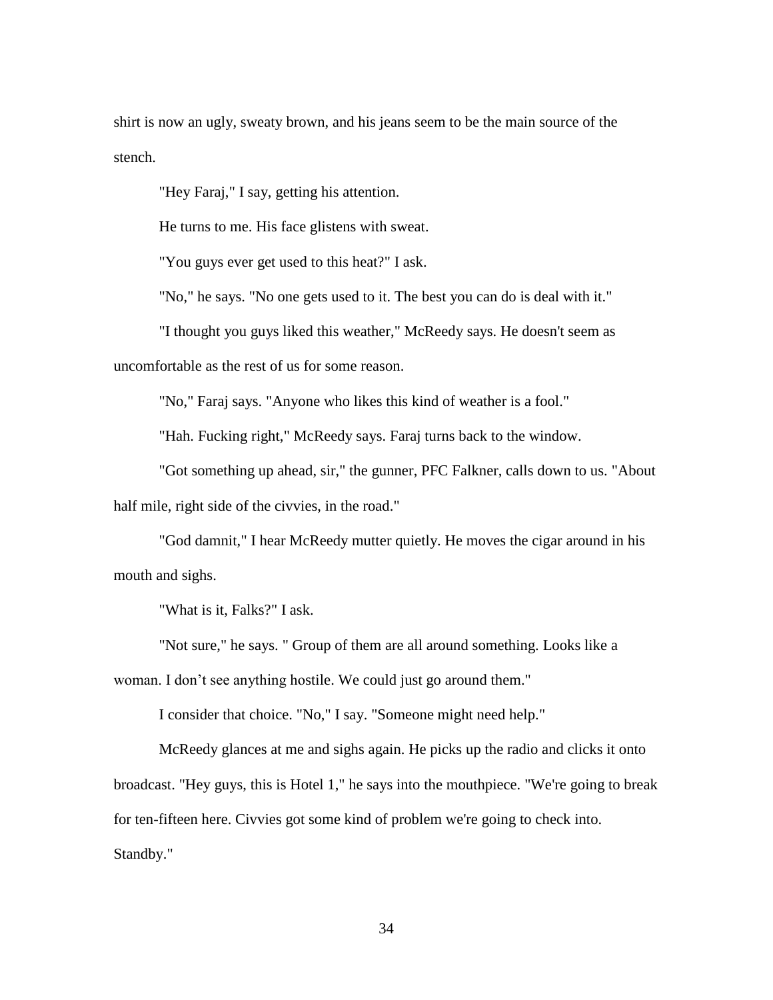shirt is now an ugly, sweaty brown, and his jeans seem to be the main source of the stench.

"Hey Faraj," I say, getting his attention.

He turns to me. His face glistens with sweat.

"You guys ever get used to this heat?" I ask.

"No," he says. "No one gets used to it. The best you can do is deal with it."

"I thought you guys liked this weather," McReedy says. He doesn't seem as

uncomfortable as the rest of us for some reason.

"No," Faraj says. "Anyone who likes this kind of weather is a fool."

"Hah. Fucking right," McReedy says. Faraj turns back to the window.

"Got something up ahead, sir," the gunner, PFC Falkner, calls down to us. "About half mile, right side of the civvies, in the road."

"God damnit," I hear McReedy mutter quietly. He moves the cigar around in his mouth and sighs.

"What is it, Falks?" I ask.

"Not sure," he says. " Group of them are all around something. Looks like a woman. I don't see anything hostile. We could just go around them."

I consider that choice. "No," I say. "Someone might need help."

McReedy glances at me and sighs again. He picks up the radio and clicks it onto broadcast. "Hey guys, this is Hotel 1," he says into the mouthpiece. "We're going to break for ten-fifteen here. Civvies got some kind of problem we're going to check into. Standby."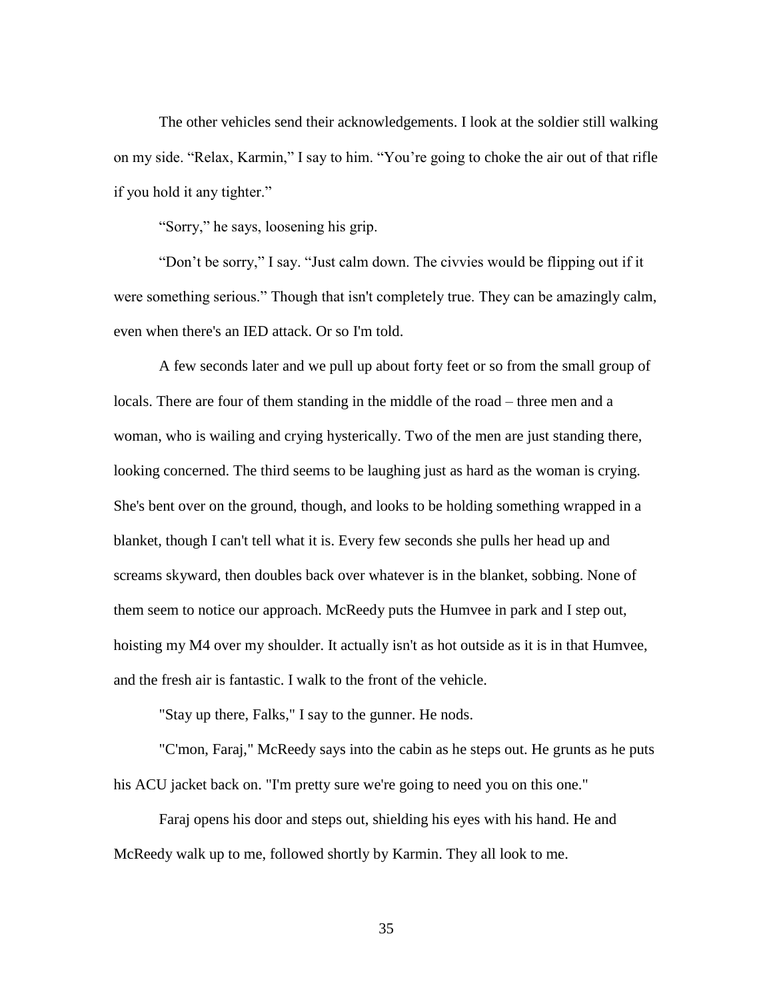The other vehicles send their acknowledgements. I look at the soldier still walking on my side. "Relax, Karmin," I say to him. "You're going to choke the air out of that rifle if you hold it any tighter."

"Sorry," he says, loosening his grip.

"Don't be sorry," I say. "Just calm down. The civvies would be flipping out if it were something serious." Though that isn't completely true. They can be amazingly calm, even when there's an IED attack. Or so I'm told.

A few seconds later and we pull up about forty feet or so from the small group of locals. There are four of them standing in the middle of the road – three men and a woman, who is wailing and crying hysterically. Two of the men are just standing there, looking concerned. The third seems to be laughing just as hard as the woman is crying. She's bent over on the ground, though, and looks to be holding something wrapped in a blanket, though I can't tell what it is. Every few seconds she pulls her head up and screams skyward, then doubles back over whatever is in the blanket, sobbing. None of them seem to notice our approach. McReedy puts the Humvee in park and I step out, hoisting my M4 over my shoulder. It actually isn't as hot outside as it is in that Humvee, and the fresh air is fantastic. I walk to the front of the vehicle.

"Stay up there, Falks," I say to the gunner. He nods.

"C'mon, Faraj," McReedy says into the cabin as he steps out. He grunts as he puts his ACU jacket back on. "I'm pretty sure we're going to need you on this one."

Faraj opens his door and steps out, shielding his eyes with his hand. He and McReedy walk up to me, followed shortly by Karmin. They all look to me.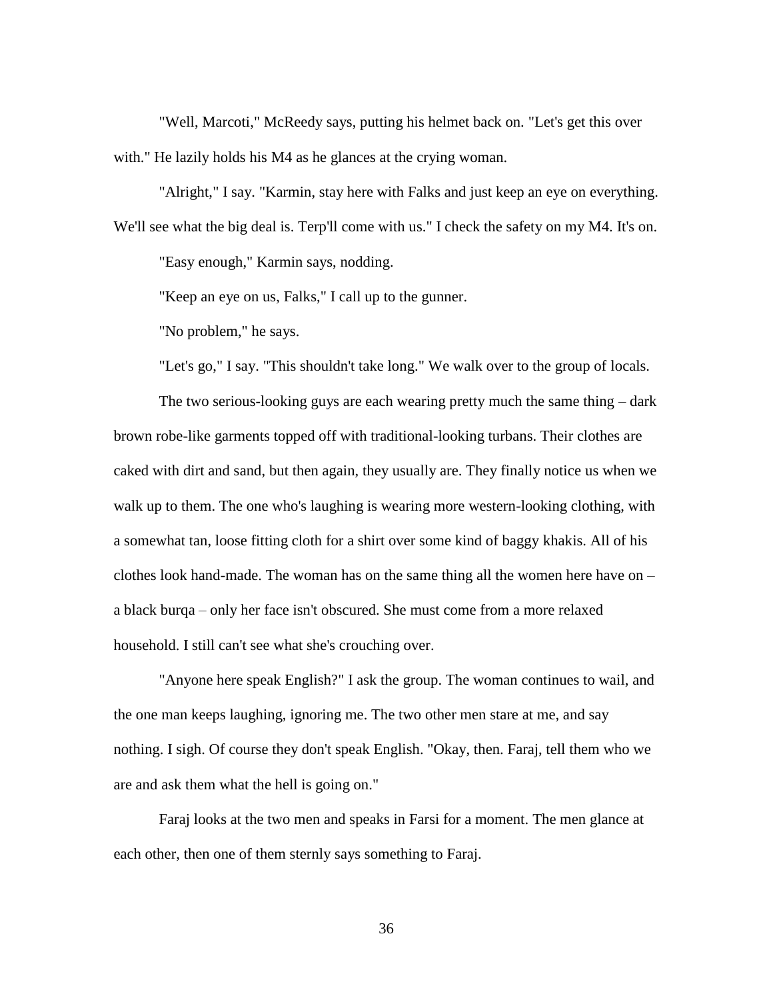"Well, Marcoti," McReedy says, putting his helmet back on. "Let's get this over with." He lazily holds his M4 as he glances at the crying woman.

"Alright," I say. "Karmin, stay here with Falks and just keep an eye on everything. We'll see what the big deal is. Terp'll come with us." I check the safety on my M4. It's on. "Easy enough," Karmin says, nodding.

"Keep an eye on us, Falks," I call up to the gunner.

"No problem," he says.

"Let's go," I say. "This shouldn't take long." We walk over to the group of locals.

The two serious-looking guys are each wearing pretty much the same thing – dark brown robe-like garments topped off with traditional-looking turbans. Their clothes are caked with dirt and sand, but then again, they usually are. They finally notice us when we walk up to them. The one who's laughing is wearing more western-looking clothing, with a somewhat tan, loose fitting cloth for a shirt over some kind of baggy khakis. All of his clothes look hand-made. The woman has on the same thing all the women here have on – a black burqa – only her face isn't obscured. She must come from a more relaxed household. I still can't see what she's crouching over.

"Anyone here speak English?" I ask the group. The woman continues to wail, and the one man keeps laughing, ignoring me. The two other men stare at me, and say nothing. I sigh. Of course they don't speak English. "Okay, then. Faraj, tell them who we are and ask them what the hell is going on."

Faraj looks at the two men and speaks in Farsi for a moment. The men glance at each other, then one of them sternly says something to Faraj.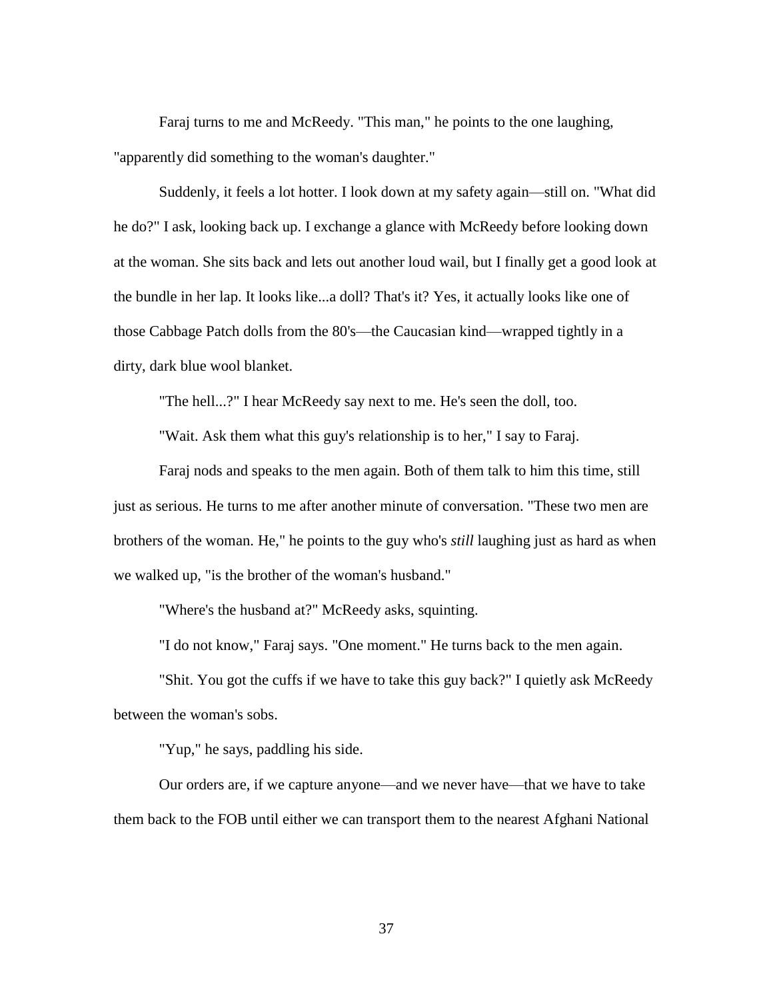Faraj turns to me and McReedy. "This man," he points to the one laughing, "apparently did something to the woman's daughter."

Suddenly, it feels a lot hotter. I look down at my safety again—still on. "What did he do?" I ask, looking back up. I exchange a glance with McReedy before looking down at the woman. She sits back and lets out another loud wail, but I finally get a good look at the bundle in her lap. It looks like...a doll? That's it? Yes, it actually looks like one of those Cabbage Patch dolls from the 80's—the Caucasian kind—wrapped tightly in a dirty, dark blue wool blanket.

"The hell...?" I hear McReedy say next to me. He's seen the doll, too.

"Wait. Ask them what this guy's relationship is to her," I say to Faraj.

Faraj nods and speaks to the men again. Both of them talk to him this time, still just as serious. He turns to me after another minute of conversation. "These two men are brothers of the woman. He," he points to the guy who's *still* laughing just as hard as when we walked up, "is the brother of the woman's husband."

"Where's the husband at?" McReedy asks, squinting.

"I do not know," Faraj says. "One moment." He turns back to the men again.

"Shit. You got the cuffs if we have to take this guy back?" I quietly ask McReedy between the woman's sobs.

"Yup," he says, paddling his side.

Our orders are, if we capture anyone—and we never have—that we have to take them back to the FOB until either we can transport them to the nearest Afghani National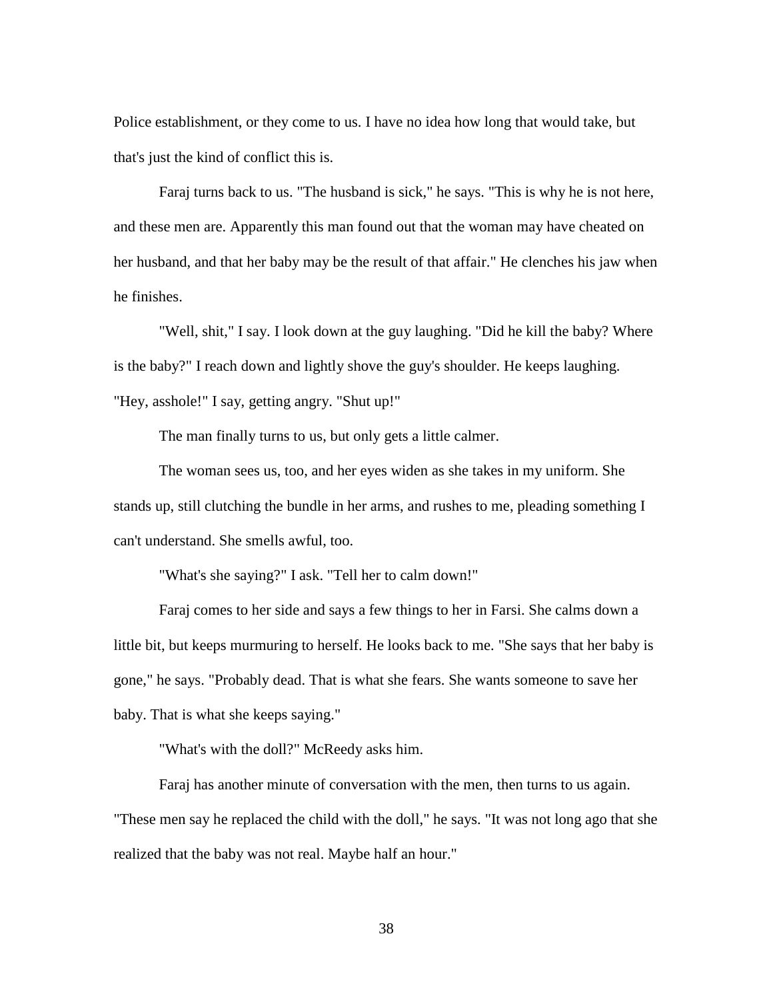Police establishment, or they come to us. I have no idea how long that would take, but that's just the kind of conflict this is.

Faraj turns back to us. "The husband is sick," he says. "This is why he is not here, and these men are. Apparently this man found out that the woman may have cheated on her husband, and that her baby may be the result of that affair." He clenches his jaw when he finishes.

"Well, shit," I say. I look down at the guy laughing. "Did he kill the baby? Where is the baby?" I reach down and lightly shove the guy's shoulder. He keeps laughing. "Hey, asshole!" I say, getting angry. "Shut up!"

The man finally turns to us, but only gets a little calmer.

The woman sees us, too, and her eyes widen as she takes in my uniform. She stands up, still clutching the bundle in her arms, and rushes to me, pleading something I can't understand. She smells awful, too.

"What's she saying?" I ask. "Tell her to calm down!"

Faraj comes to her side and says a few things to her in Farsi. She calms down a little bit, but keeps murmuring to herself. He looks back to me. "She says that her baby is gone," he says. "Probably dead. That is what she fears. She wants someone to save her baby. That is what she keeps saying."

"What's with the doll?" McReedy asks him.

Faraj has another minute of conversation with the men, then turns to us again. "These men say he replaced the child with the doll," he says. "It was not long ago that she realized that the baby was not real. Maybe half an hour."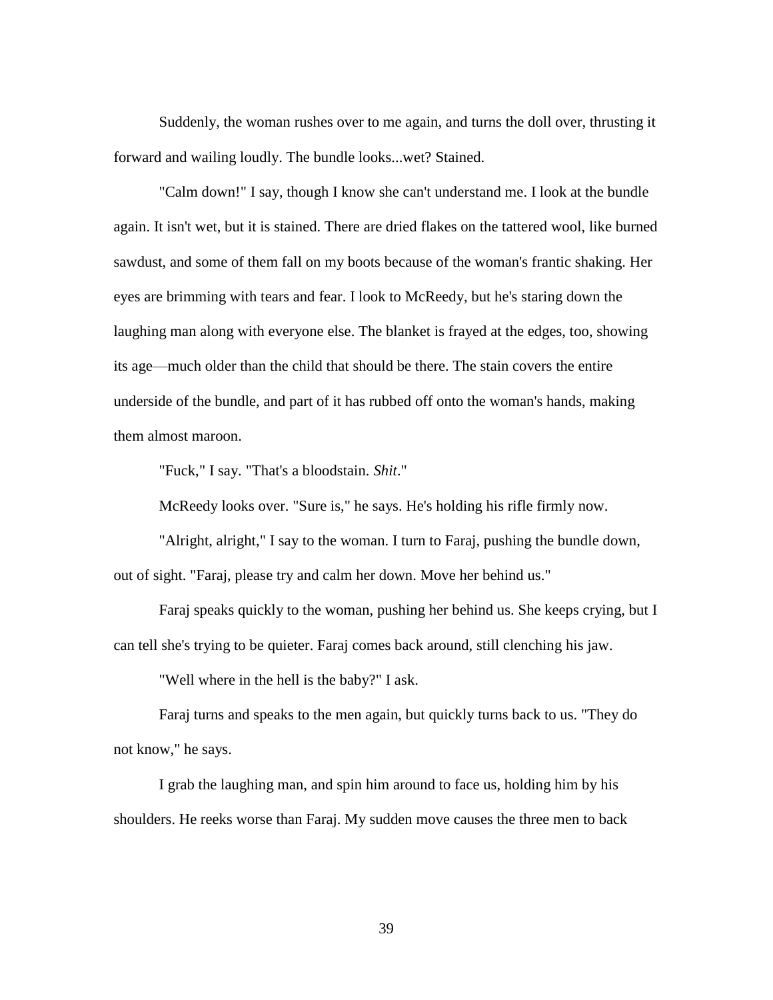Suddenly, the woman rushes over to me again, and turns the doll over, thrusting it forward and wailing loudly. The bundle looks...wet? Stained.

"Calm down!" I say, though I know she can't understand me. I look at the bundle again. It isn't wet, but it is stained. There are dried flakes on the tattered wool, like burned sawdust, and some of them fall on my boots because of the woman's frantic shaking. Her eyes are brimming with tears and fear. I look to McReedy, but he's staring down the laughing man along with everyone else. The blanket is frayed at the edges, too, showing its age—much older than the child that should be there. The stain covers the entire underside of the bundle, and part of it has rubbed off onto the woman's hands, making them almost maroon.

"Fuck," I say. "That's a bloodstain. *Shit*."

McReedy looks over. "Sure is," he says. He's holding his rifle firmly now.

"Alright, alright," I say to the woman. I turn to Faraj, pushing the bundle down, out of sight. "Faraj, please try and calm her down. Move her behind us."

Faraj speaks quickly to the woman, pushing her behind us. She keeps crying, but I can tell she's trying to be quieter. Faraj comes back around, still clenching his jaw.

"Well where in the hell is the baby?" I ask.

Faraj turns and speaks to the men again, but quickly turns back to us. "They do not know," he says.

I grab the laughing man, and spin him around to face us, holding him by his shoulders. He reeks worse than Faraj. My sudden move causes the three men to back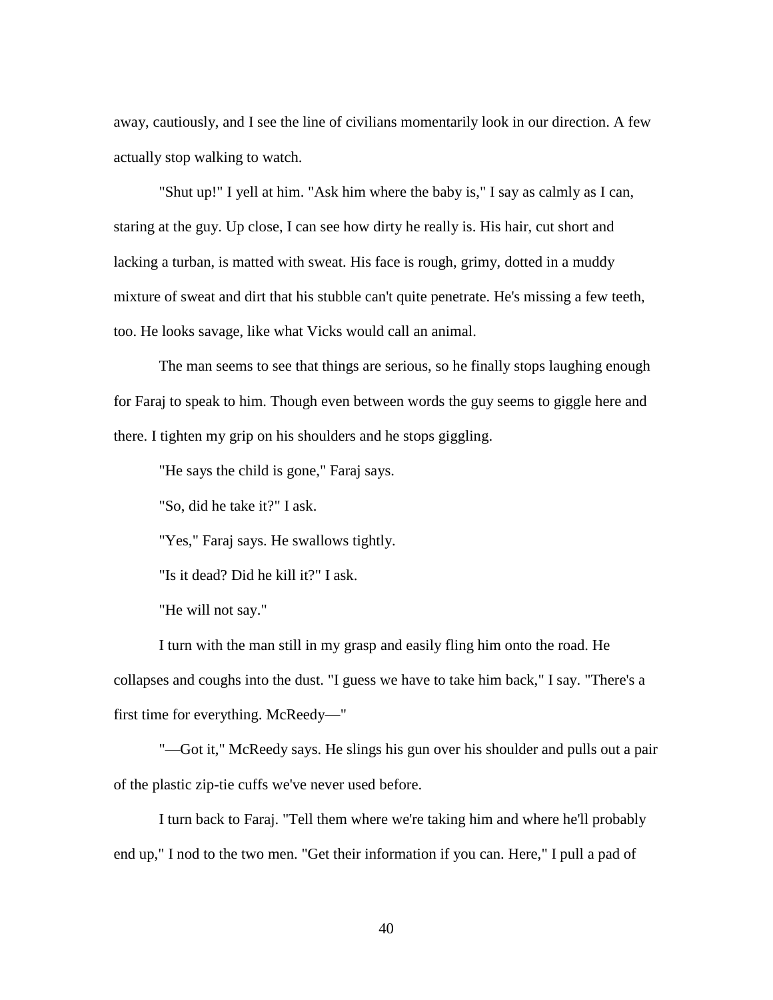away, cautiously, and I see the line of civilians momentarily look in our direction. A few actually stop walking to watch.

"Shut up!" I yell at him. "Ask him where the baby is," I say as calmly as I can, staring at the guy. Up close, I can see how dirty he really is. His hair, cut short and lacking a turban, is matted with sweat. His face is rough, grimy, dotted in a muddy mixture of sweat and dirt that his stubble can't quite penetrate. He's missing a few teeth, too. He looks savage, like what Vicks would call an animal.

The man seems to see that things are serious, so he finally stops laughing enough for Faraj to speak to him. Though even between words the guy seems to giggle here and there. I tighten my grip on his shoulders and he stops giggling.

"He says the child is gone," Faraj says.

"So, did he take it?" I ask.

"Yes," Faraj says. He swallows tightly.

"Is it dead? Did he kill it?" I ask.

"He will not say."

I turn with the man still in my grasp and easily fling him onto the road. He collapses and coughs into the dust. "I guess we have to take him back," I say. "There's a first time for everything. McReedy—"

"—Got it," McReedy says. He slings his gun over his shoulder and pulls out a pair of the plastic zip-tie cuffs we've never used before.

I turn back to Faraj. "Tell them where we're taking him and where he'll probably end up," I nod to the two men. "Get their information if you can. Here," I pull a pad of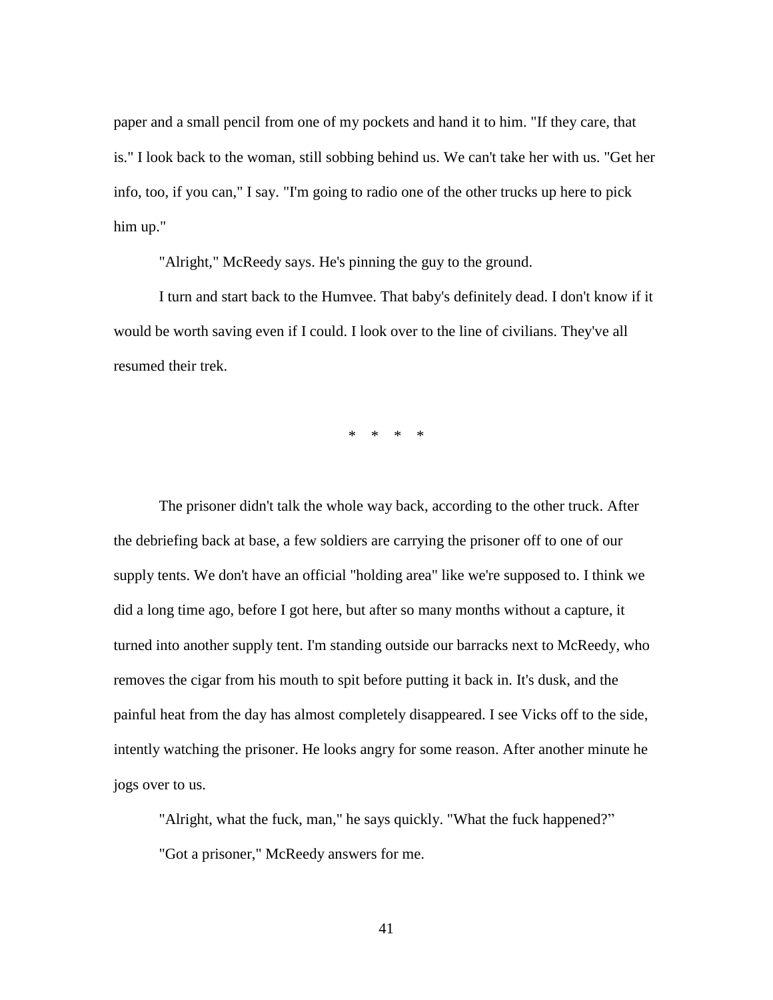paper and a small pencil from one of my pockets and hand it to him. "If they care, that is." I look back to the woman, still sobbing behind us. We can't take her with us. "Get her info, too, if you can," I say. "I'm going to radio one of the other trucks up here to pick him up."

"Alright," McReedy says. He's pinning the guy to the ground.

I turn and start back to the Humvee. That baby's definitely dead. I don't know if it would be worth saving even if I could. I look over to the line of civilians. They've all resumed their trek.

\* \* \* \*

The prisoner didn't talk the whole way back, according to the other truck. After the debriefing back at base, a few soldiers are carrying the prisoner off to one of our supply tents. We don't have an official "holding area" like we're supposed to. I think we did a long time ago, before I got here, but after so many months without a capture, it turned into another supply tent. I'm standing outside our barracks next to McReedy, who removes the cigar from his mouth to spit before putting it back in. It's dusk, and the painful heat from the day has almost completely disappeared. I see Vicks off to the side, intently watching the prisoner. He looks angry for some reason. After another minute he jogs over to us.

"Alright, what the fuck, man," he says quickly. "What the fuck happened?" "Got a prisoner," McReedy answers for me.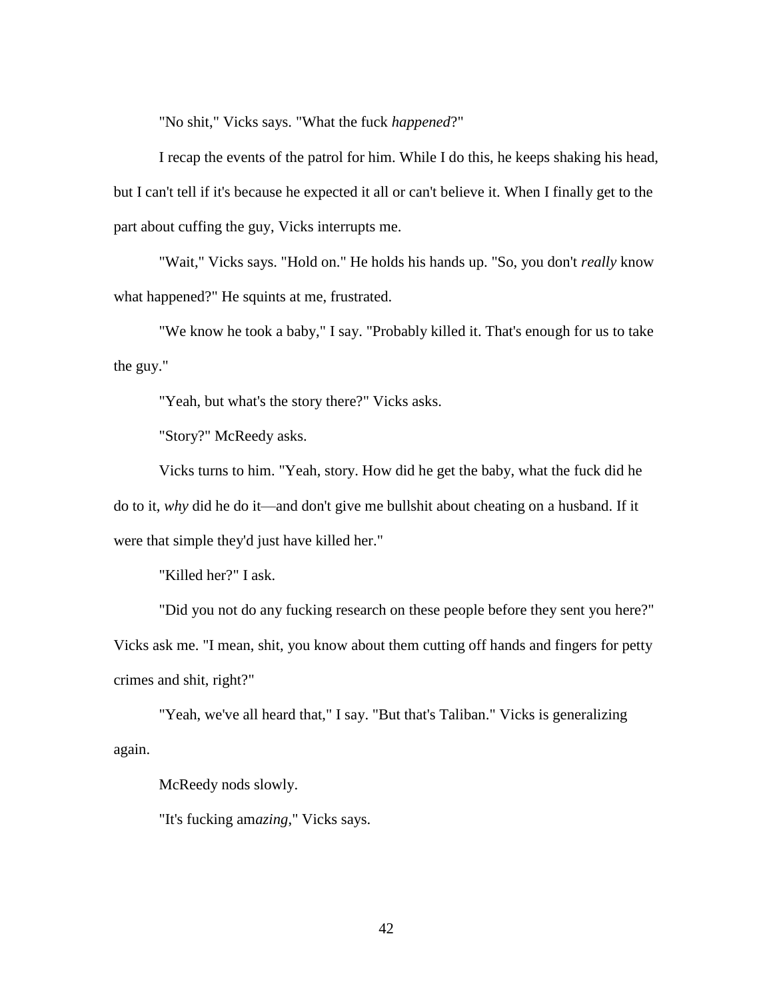"No shit," Vicks says. "What the fuck *happened*?"

I recap the events of the patrol for him. While I do this, he keeps shaking his head, but I can't tell if it's because he expected it all or can't believe it. When I finally get to the part about cuffing the guy, Vicks interrupts me.

"Wait," Vicks says. "Hold on." He holds his hands up. "So, you don't *really* know what happened?" He squints at me, frustrated.

"We know he took a baby," I say. "Probably killed it. That's enough for us to take the guy."

"Yeah, but what's the story there?" Vicks asks.

"Story?" McReedy asks.

Vicks turns to him. "Yeah, story. How did he get the baby, what the fuck did he do to it, *why* did he do it—and don't give me bullshit about cheating on a husband. If it were that simple they'd just have killed her."

"Killed her?" I ask.

"Did you not do any fucking research on these people before they sent you here?" Vicks ask me. "I mean, shit, you know about them cutting off hands and fingers for petty crimes and shit, right?"

"Yeah, we've all heard that," I say. "But that's Taliban." Vicks is generalizing again.

McReedy nods slowly.

"It's fucking am*azing*," Vicks says.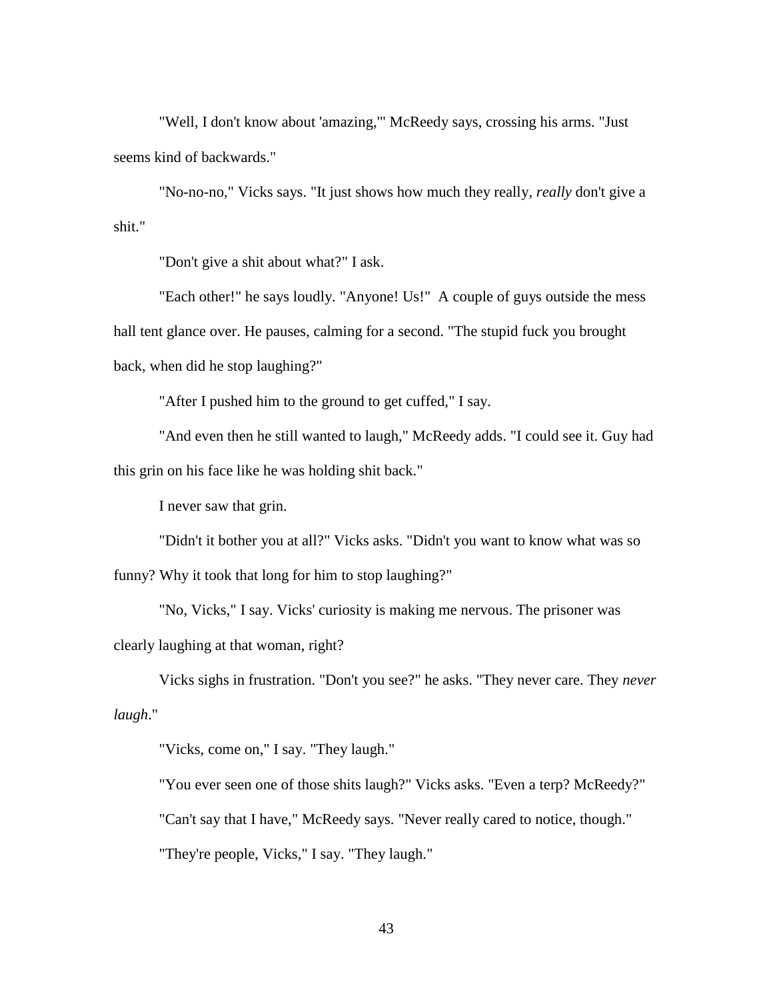"Well, I don't know about 'amazing,'" McReedy says, crossing his arms. "Just seems kind of backwards."

"No-no-no," Vicks says. "It just shows how much they really*, really* don't give a shit."

"Don't give a shit about what?" I ask.

"Each other!" he says loudly. "Anyone! Us!" A couple of guys outside the mess hall tent glance over. He pauses, calming for a second. "The stupid fuck you brought back, when did he stop laughing?"

"After I pushed him to the ground to get cuffed," I say.

"And even then he still wanted to laugh," McReedy adds. "I could see it. Guy had this grin on his face like he was holding shit back."

I never saw that grin.

"Didn't it bother you at all?" Vicks asks. "Didn't you want to know what was so funny? Why it took that long for him to stop laughing?"

"No, Vicks," I say. Vicks' curiosity is making me nervous. The prisoner was clearly laughing at that woman, right?

Vicks sighs in frustration. "Don't you see?" he asks. "They never care. They *never laugh*."

"Vicks, come on," I say. "They laugh."

"You ever seen one of those shits laugh?" Vicks asks. "Even a terp? McReedy?"

"Can't say that I have," McReedy says. "Never really cared to notice, though."

"They're people, Vicks," I say. "They laugh."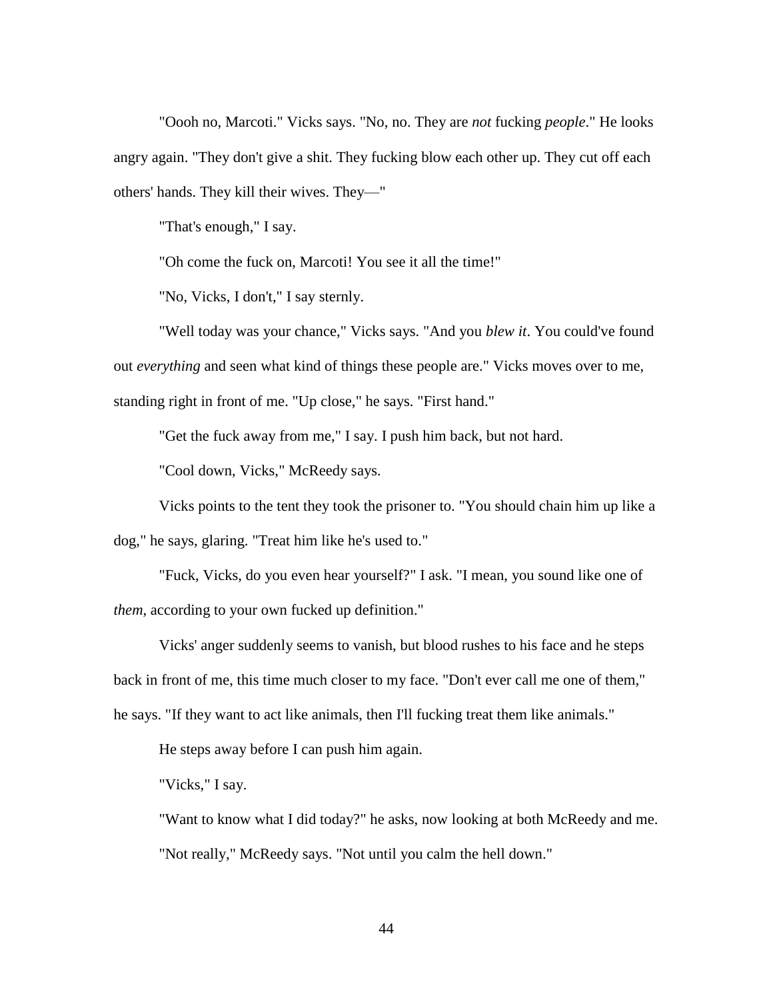"Oooh no, Marcoti." Vicks says. "No, no. They are *not* fucking *people*." He looks angry again. "They don't give a shit. They fucking blow each other up. They cut off each others' hands. They kill their wives. They—"

"That's enough," I say.

"Oh come the fuck on, Marcoti! You see it all the time!"

"No, Vicks, I don't," I say sternly.

"Well today was your chance," Vicks says. "And you *blew it*. You could've found out *everything* and seen what kind of things these people are." Vicks moves over to me, standing right in front of me. "Up close," he says. "First hand."

"Get the fuck away from me," I say. I push him back, but not hard.

"Cool down, Vicks," McReedy says.

Vicks points to the tent they took the prisoner to. "You should chain him up like a dog," he says, glaring. "Treat him like he's used to."

"Fuck, Vicks, do you even hear yourself?" I ask. "I mean, you sound like one of *them*, according to your own fucked up definition."

Vicks' anger suddenly seems to vanish, but blood rushes to his face and he steps back in front of me, this time much closer to my face. "Don't ever call me one of them," he says. "If they want to act like animals, then I'll fucking treat them like animals."

He steps away before I can push him again.

"Vicks," I say.

"Want to know what I did today?" he asks, now looking at both McReedy and me. "Not really," McReedy says. "Not until you calm the hell down."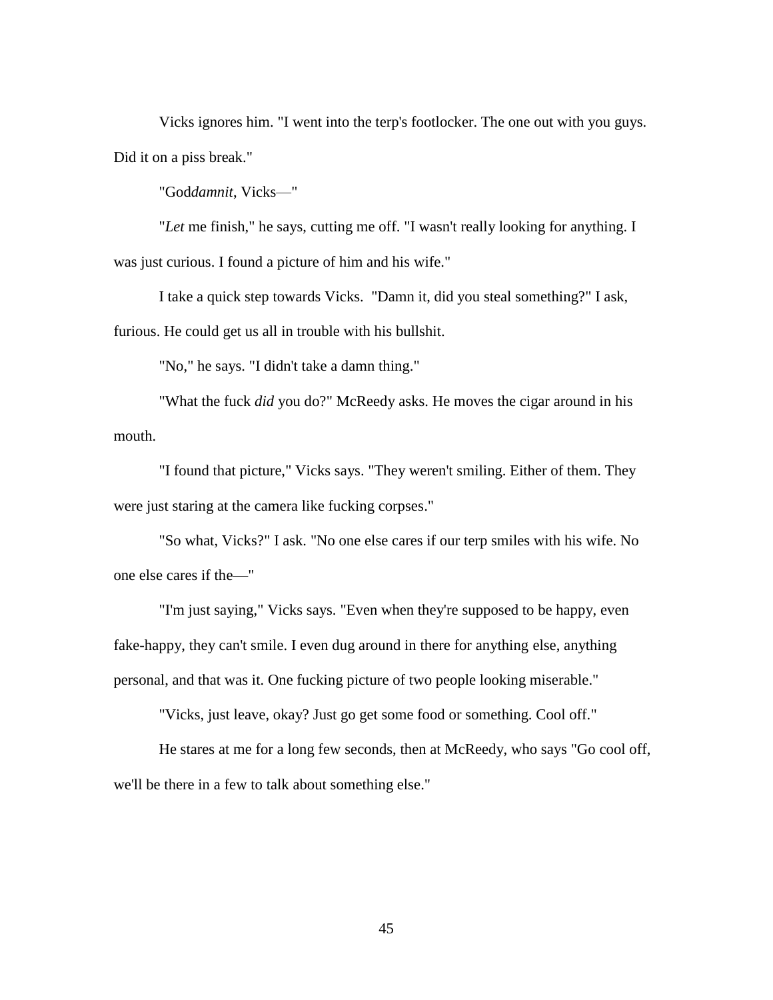Vicks ignores him. "I went into the terp's footlocker. The one out with you guys. Did it on a piss break."

"God*damnit*, Vicks—"

"*Let* me finish," he says, cutting me off. "I wasn't really looking for anything. I was just curious. I found a picture of him and his wife."

I take a quick step towards Vicks. "Damn it, did you steal something?" I ask, furious. He could get us all in trouble with his bullshit.

"No," he says. "I didn't take a damn thing."

"What the fuck *did* you do?" McReedy asks. He moves the cigar around in his mouth.

"I found that picture," Vicks says. "They weren't smiling. Either of them. They were just staring at the camera like fucking corpses."

"So what, Vicks?" I ask. "No one else cares if our terp smiles with his wife. No one else cares if the—"

"I'm just saying," Vicks says. "Even when they're supposed to be happy, even fake-happy, they can't smile. I even dug around in there for anything else, anything personal, and that was it. One fucking picture of two people looking miserable."

"Vicks, just leave, okay? Just go get some food or something. Cool off."

He stares at me for a long few seconds, then at McReedy, who says "Go cool off, we'll be there in a few to talk about something else."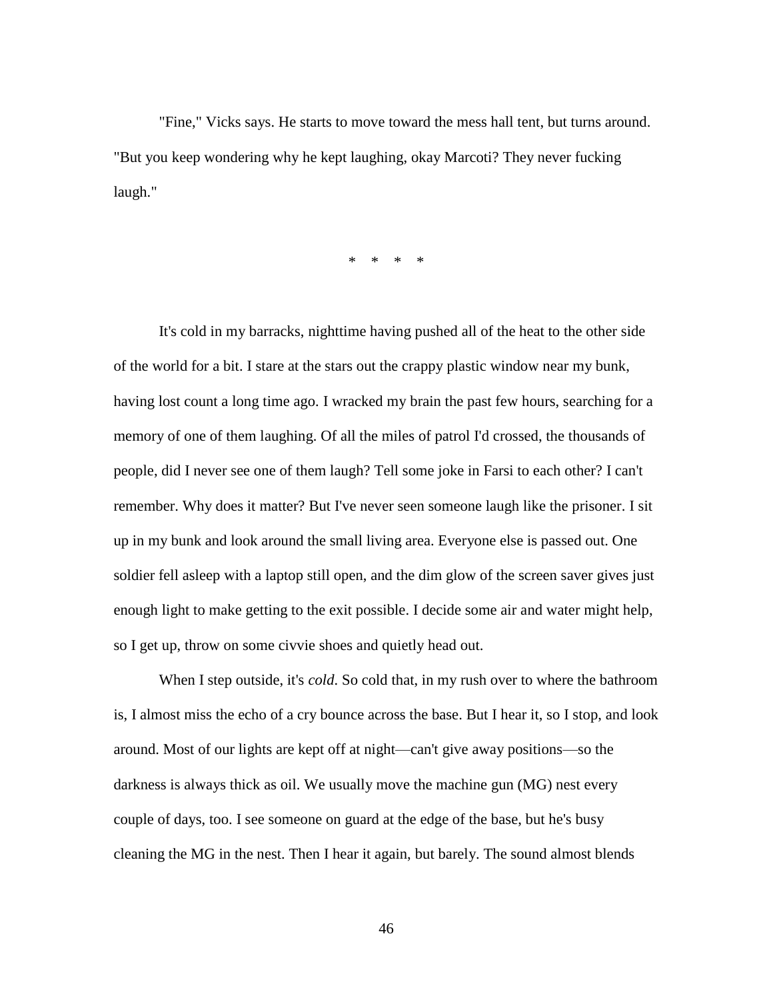"Fine," Vicks says. He starts to move toward the mess hall tent, but turns around. "But you keep wondering why he kept laughing, okay Marcoti? They never fucking laugh."

\* \* \* \*

It's cold in my barracks, nighttime having pushed all of the heat to the other side of the world for a bit. I stare at the stars out the crappy plastic window near my bunk, having lost count a long time ago. I wracked my brain the past few hours, searching for a memory of one of them laughing. Of all the miles of patrol I'd crossed, the thousands of people, did I never see one of them laugh? Tell some joke in Farsi to each other? I can't remember. Why does it matter? But I've never seen someone laugh like the prisoner. I sit up in my bunk and look around the small living area. Everyone else is passed out. One soldier fell asleep with a laptop still open, and the dim glow of the screen saver gives just enough light to make getting to the exit possible. I decide some air and water might help, so I get up, throw on some civvie shoes and quietly head out.

When I step outside, it's *cold*. So cold that, in my rush over to where the bathroom is, I almost miss the echo of a cry bounce across the base. But I hear it, so I stop, and look around. Most of our lights are kept off at night—can't give away positions—so the darkness is always thick as oil. We usually move the machine gun (MG) nest every couple of days, too. I see someone on guard at the edge of the base, but he's busy cleaning the MG in the nest. Then I hear it again, but barely. The sound almost blends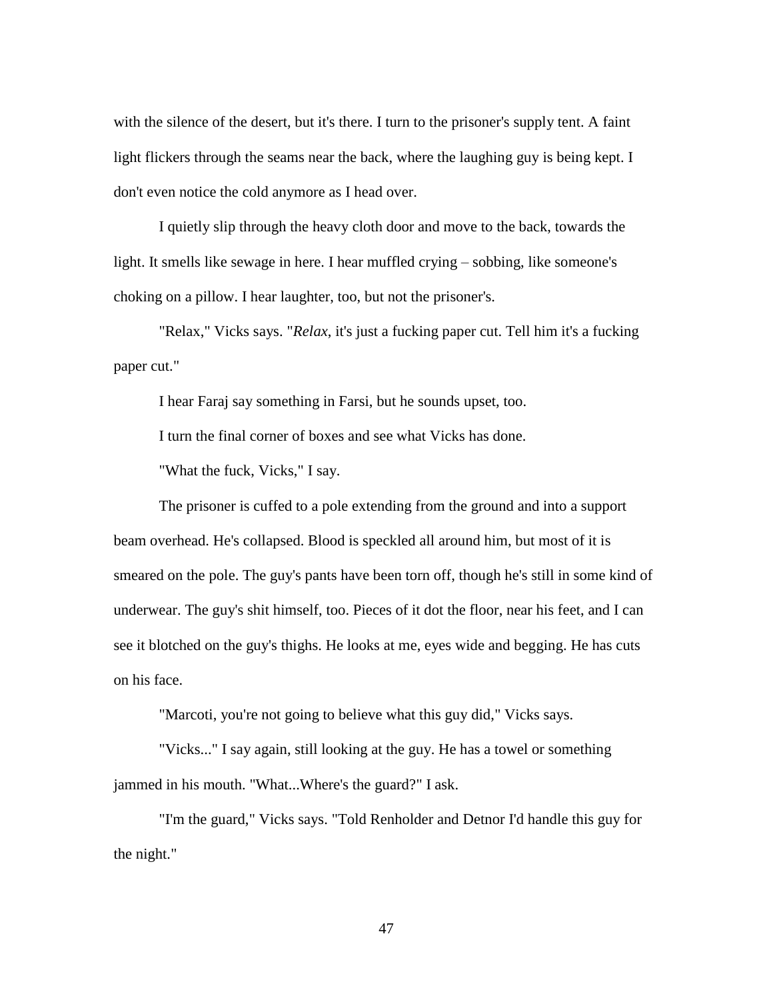with the silence of the desert, but it's there. I turn to the prisoner's supply tent. A faint light flickers through the seams near the back, where the laughing guy is being kept. I don't even notice the cold anymore as I head over.

I quietly slip through the heavy cloth door and move to the back, towards the light. It smells like sewage in here. I hear muffled crying – sobbing, like someone's choking on a pillow. I hear laughter, too, but not the prisoner's.

"Relax," Vicks says. "*Relax*, it's just a fucking paper cut. Tell him it's a fucking paper cut."

I hear Faraj say something in Farsi, but he sounds upset, too.

I turn the final corner of boxes and see what Vicks has done.

"What the fuck, Vicks," I say.

The prisoner is cuffed to a pole extending from the ground and into a support beam overhead. He's collapsed. Blood is speckled all around him, but most of it is smeared on the pole. The guy's pants have been torn off, though he's still in some kind of underwear. The guy's shit himself, too. Pieces of it dot the floor, near his feet, and I can see it blotched on the guy's thighs. He looks at me, eyes wide and begging. He has cuts on his face.

"Marcoti, you're not going to believe what this guy did," Vicks says.

"Vicks..." I say again, still looking at the guy. He has a towel or something jammed in his mouth. "What...Where's the guard?" I ask.

"I'm the guard," Vicks says. "Told Renholder and Detnor I'd handle this guy for the night."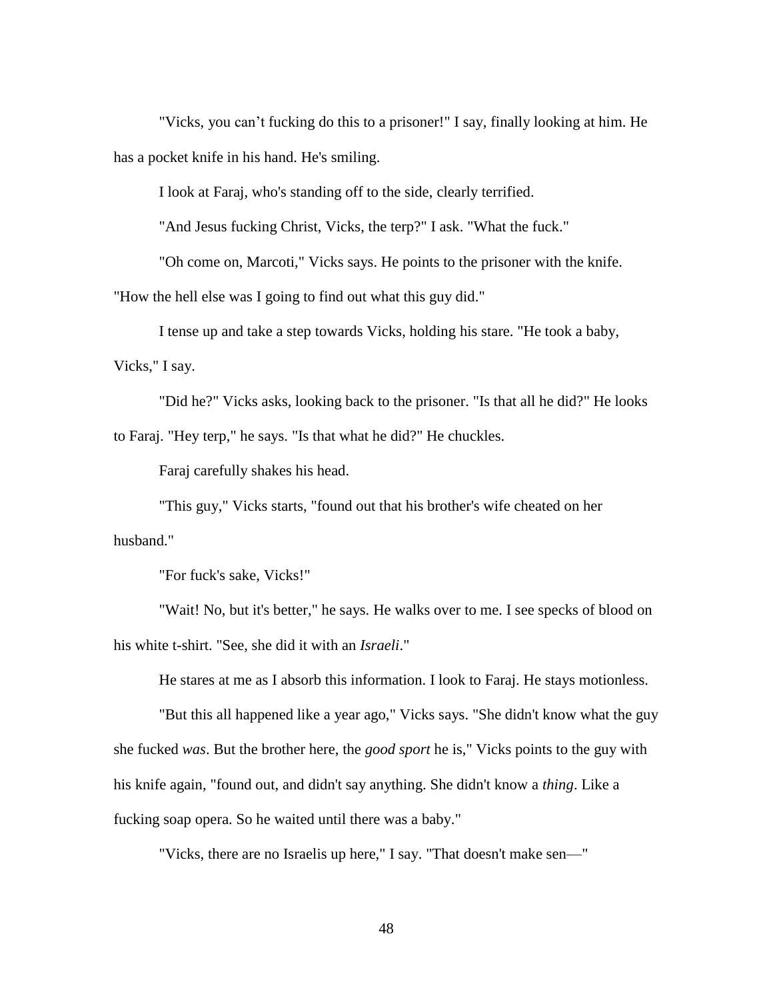"Vicks, you can't fucking do this to a prisoner!" I say, finally looking at him. He has a pocket knife in his hand. He's smiling.

I look at Faraj, who's standing off to the side, clearly terrified.

"And Jesus fucking Christ, Vicks, the terp?" I ask. "What the fuck."

"Oh come on, Marcoti," Vicks says. He points to the prisoner with the knife.

"How the hell else was I going to find out what this guy did."

I tense up and take a step towards Vicks, holding his stare. "He took a baby,

Vicks," I say.

"Did he?" Vicks asks, looking back to the prisoner. "Is that all he did?" He looks to Faraj. "Hey terp," he says. "Is that what he did?" He chuckles.

Faraj carefully shakes his head.

"This guy," Vicks starts, "found out that his brother's wife cheated on her husband."

"For fuck's sake, Vicks!"

"Wait! No, but it's better," he says. He walks over to me. I see specks of blood on his white t-shirt. "See, she did it with an *Israeli*."

He stares at me as I absorb this information. I look to Faraj. He stays motionless.

"But this all happened like a year ago," Vicks says. "She didn't know what the guy she fucked *was*. But the brother here, the *good sport* he is," Vicks points to the guy with his knife again, "found out, and didn't say anything. She didn't know a *thing*. Like a fucking soap opera. So he waited until there was a baby."

"Vicks, there are no Israelis up here," I say. "That doesn't make sen—"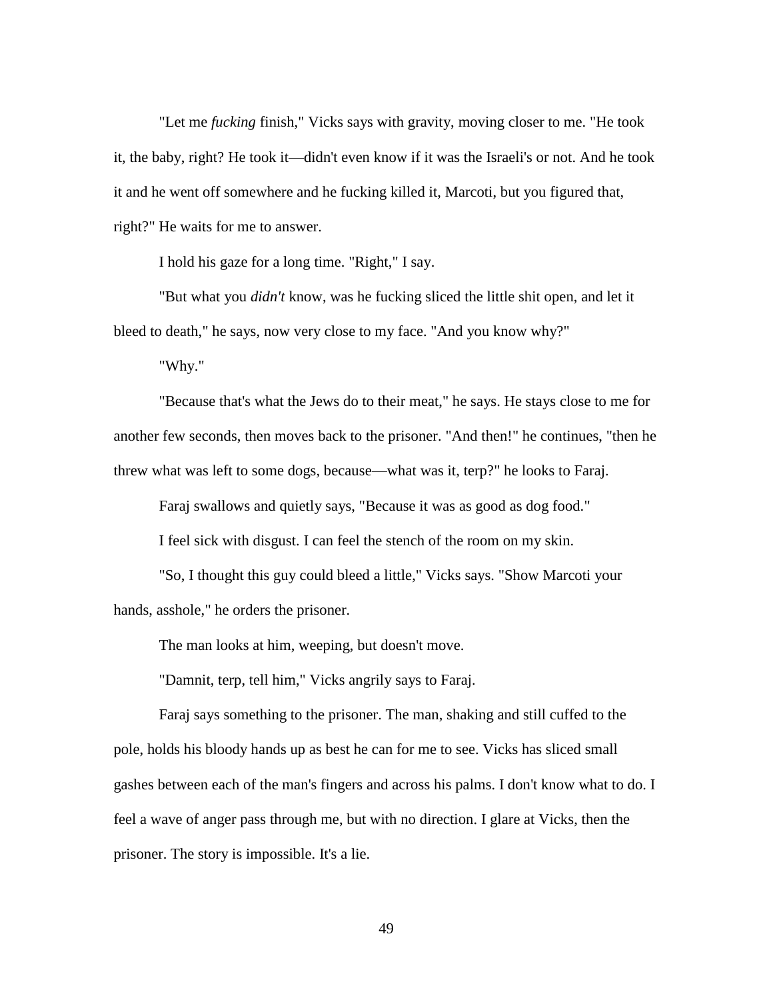"Let me *fucking* finish," Vicks says with gravity, moving closer to me. "He took it, the baby, right? He took it—didn't even know if it was the Israeli's or not. And he took it and he went off somewhere and he fucking killed it, Marcoti, but you figured that, right?" He waits for me to answer.

I hold his gaze for a long time. "Right," I say.

"But what you *didn't* know, was he fucking sliced the little shit open, and let it bleed to death," he says, now very close to my face. "And you know why?"

"Why."

"Because that's what the Jews do to their meat," he says. He stays close to me for another few seconds, then moves back to the prisoner. "And then!" he continues, "then he threw what was left to some dogs, because—what was it, terp?" he looks to Faraj.

Faraj swallows and quietly says, "Because it was as good as dog food."

I feel sick with disgust. I can feel the stench of the room on my skin.

"So, I thought this guy could bleed a little," Vicks says. "Show Marcoti your hands, asshole," he orders the prisoner.

The man looks at him, weeping, but doesn't move.

"Damnit, terp, tell him," Vicks angrily says to Faraj.

Faraj says something to the prisoner. The man, shaking and still cuffed to the pole, holds his bloody hands up as best he can for me to see. Vicks has sliced small gashes between each of the man's fingers and across his palms. I don't know what to do. I feel a wave of anger pass through me, but with no direction. I glare at Vicks, then the prisoner. The story is impossible. It's a lie.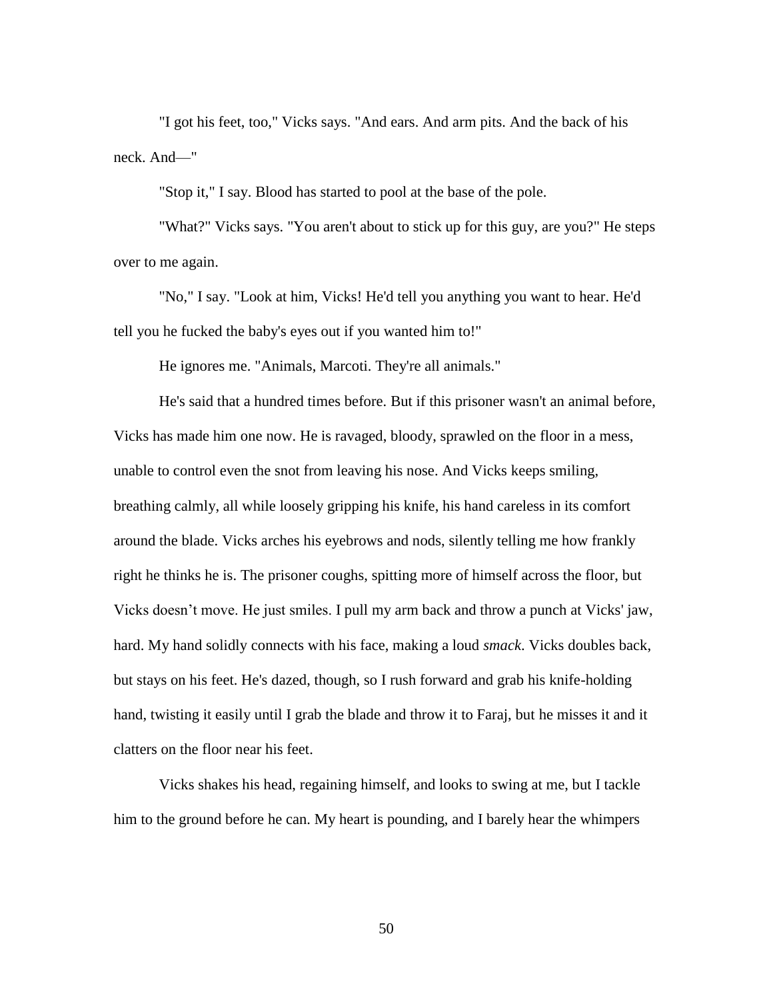"I got his feet, too," Vicks says. "And ears. And arm pits. And the back of his neck. And—"

"Stop it," I say. Blood has started to pool at the base of the pole.

"What?" Vicks says. "You aren't about to stick up for this guy, are you?" He steps over to me again.

"No," I say. "Look at him, Vicks! He'd tell you anything you want to hear. He'd tell you he fucked the baby's eyes out if you wanted him to!"

He ignores me. "Animals, Marcoti. They're all animals."

He's said that a hundred times before. But if this prisoner wasn't an animal before, Vicks has made him one now. He is ravaged, bloody, sprawled on the floor in a mess, unable to control even the snot from leaving his nose. And Vicks keeps smiling, breathing calmly, all while loosely gripping his knife, his hand careless in its comfort around the blade. Vicks arches his eyebrows and nods, silently telling me how frankly right he thinks he is. The prisoner coughs, spitting more of himself across the floor, but Vicks doesn't move. He just smiles. I pull my arm back and throw a punch at Vicks' jaw, hard. My hand solidly connects with his face, making a loud *smack*. Vicks doubles back, but stays on his feet. He's dazed, though, so I rush forward and grab his knife-holding hand, twisting it easily until I grab the blade and throw it to Faraj, but he misses it and it clatters on the floor near his feet.

Vicks shakes his head, regaining himself, and looks to swing at me, but I tackle him to the ground before he can. My heart is pounding, and I barely hear the whimpers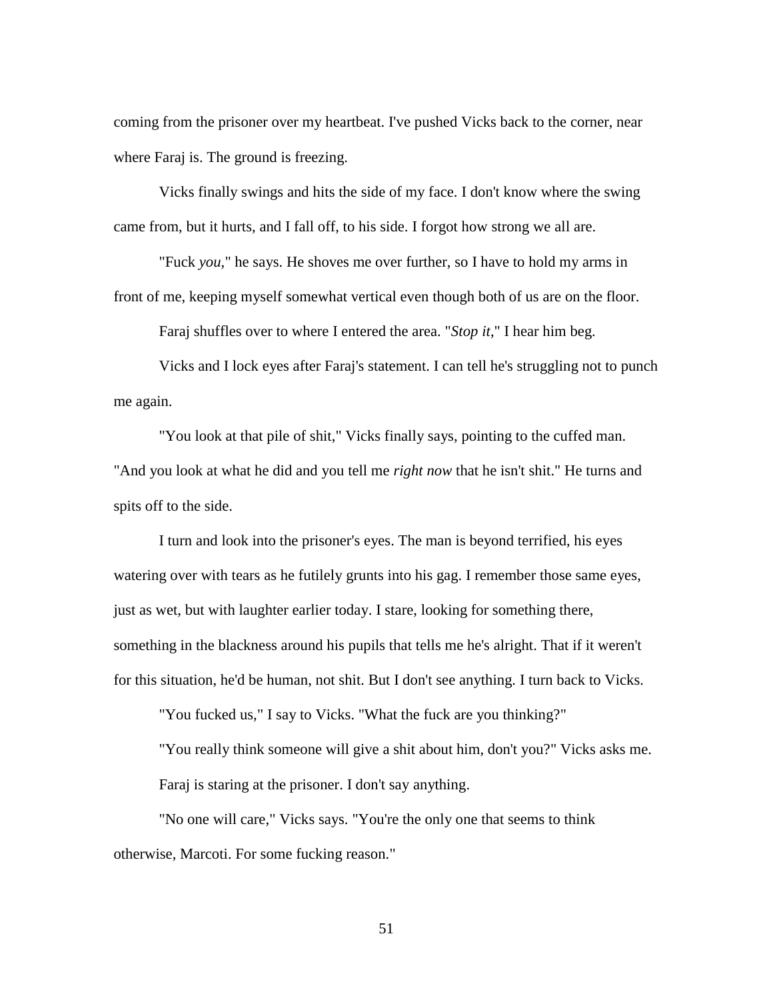coming from the prisoner over my heartbeat. I've pushed Vicks back to the corner, near where Faraj is. The ground is freezing.

Vicks finally swings and hits the side of my face. I don't know where the swing came from, but it hurts, and I fall off, to his side. I forgot how strong we all are.

"Fuck *you*," he says. He shoves me over further, so I have to hold my arms in front of me, keeping myself somewhat vertical even though both of us are on the floor.

Faraj shuffles over to where I entered the area. "*Stop it*," I hear him beg.

Vicks and I lock eyes after Faraj's statement. I can tell he's struggling not to punch me again.

"You look at that pile of shit," Vicks finally says, pointing to the cuffed man. "And you look at what he did and you tell me *right now* that he isn't shit." He turns and spits off to the side.

I turn and look into the prisoner's eyes. The man is beyond terrified, his eyes watering over with tears as he futilely grunts into his gag. I remember those same eyes, just as wet, but with laughter earlier today. I stare, looking for something there, something in the blackness around his pupils that tells me he's alright. That if it weren't for this situation, he'd be human, not shit. But I don't see anything. I turn back to Vicks.

"You fucked us," I say to Vicks. "What the fuck are you thinking?"

"You really think someone will give a shit about him, don't you?" Vicks asks me. Faraj is staring at the prisoner. I don't say anything.

"No one will care," Vicks says. "You're the only one that seems to think otherwise, Marcoti. For some fucking reason."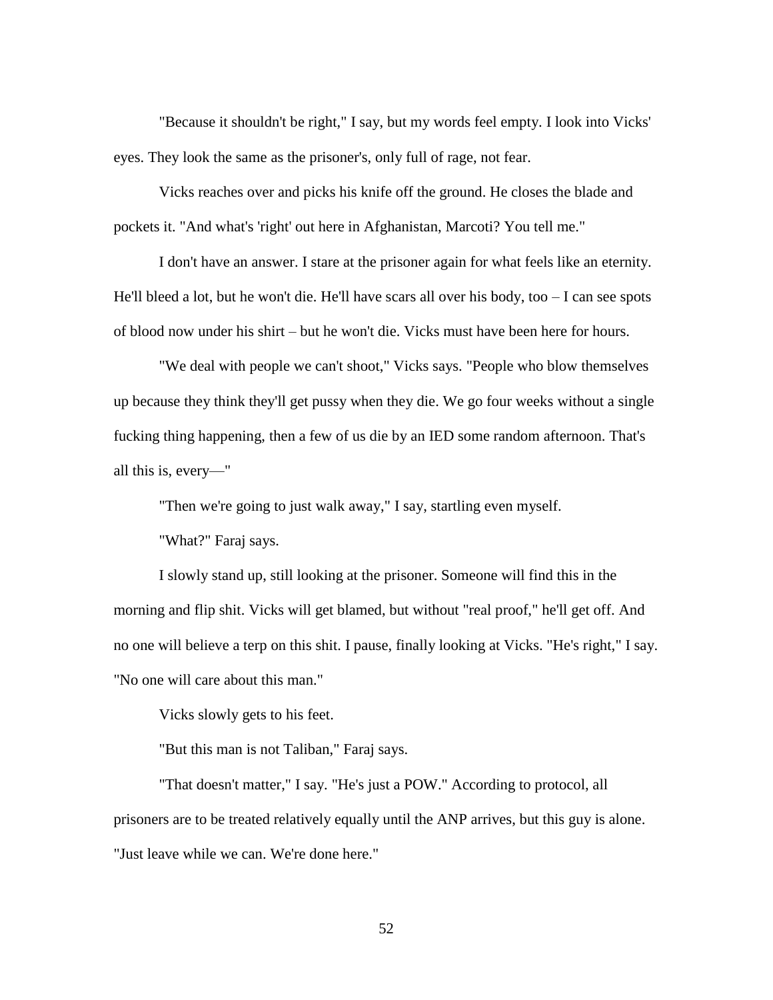"Because it shouldn't be right," I say, but my words feel empty. I look into Vicks' eyes. They look the same as the prisoner's, only full of rage, not fear.

Vicks reaches over and picks his knife off the ground. He closes the blade and pockets it. "And what's 'right' out here in Afghanistan, Marcoti? You tell me."

I don't have an answer. I stare at the prisoner again for what feels like an eternity. He'll bleed a lot, but he won't die. He'll have scars all over his body, too  $-I$  can see spots of blood now under his shirt – but he won't die. Vicks must have been here for hours.

"We deal with people we can't shoot," Vicks says. "People who blow themselves up because they think they'll get pussy when they die. We go four weeks without a single fucking thing happening, then a few of us die by an IED some random afternoon. That's all this is, every—"

"Then we're going to just walk away," I say, startling even myself.

"What?" Faraj says.

I slowly stand up, still looking at the prisoner. Someone will find this in the morning and flip shit. Vicks will get blamed, but without "real proof," he'll get off. And no one will believe a terp on this shit. I pause, finally looking at Vicks. "He's right," I say. "No one will care about this man."

Vicks slowly gets to his feet.

"But this man is not Taliban," Faraj says.

"That doesn't matter," I say. "He's just a POW." According to protocol, all prisoners are to be treated relatively equally until the ANP arrives, but this guy is alone. "Just leave while we can. We're done here."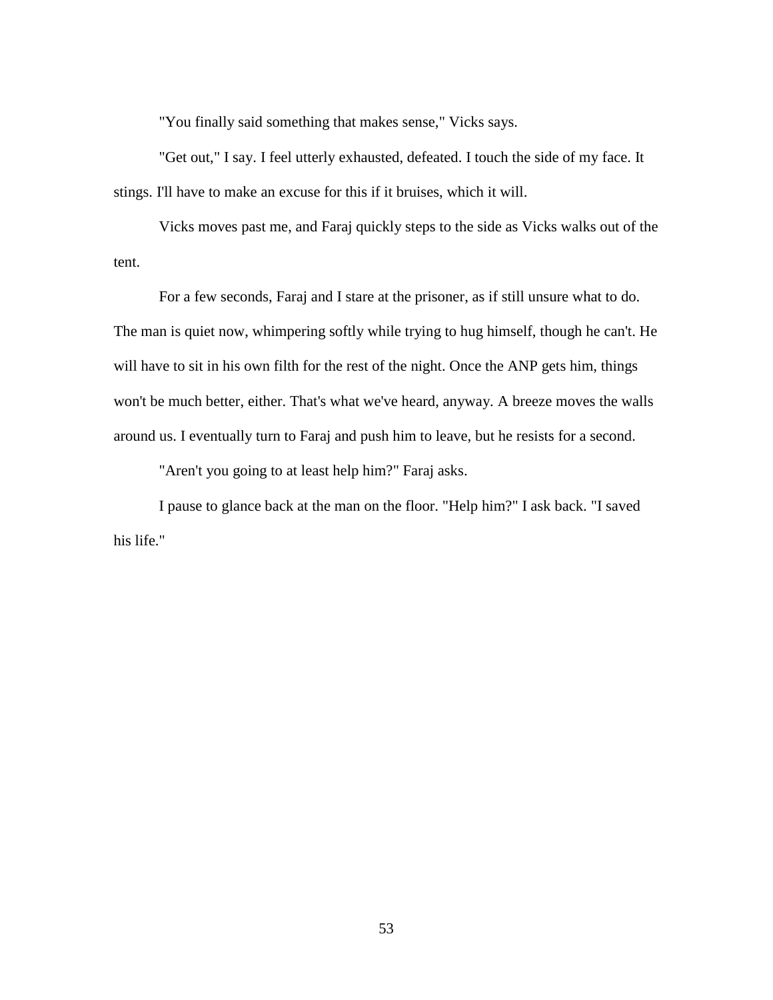"You finally said something that makes sense," Vicks says.

"Get out," I say. I feel utterly exhausted, defeated. I touch the side of my face. It stings. I'll have to make an excuse for this if it bruises, which it will.

Vicks moves past me, and Faraj quickly steps to the side as Vicks walks out of the tent.

For a few seconds, Faraj and I stare at the prisoner, as if still unsure what to do. The man is quiet now, whimpering softly while trying to hug himself, though he can't. He will have to sit in his own filth for the rest of the night. Once the ANP gets him, things won't be much better, either. That's what we've heard, anyway. A breeze moves the walls around us. I eventually turn to Faraj and push him to leave, but he resists for a second.

"Aren't you going to at least help him?" Faraj asks.

I pause to glance back at the man on the floor. "Help him?" I ask back. "I saved his life."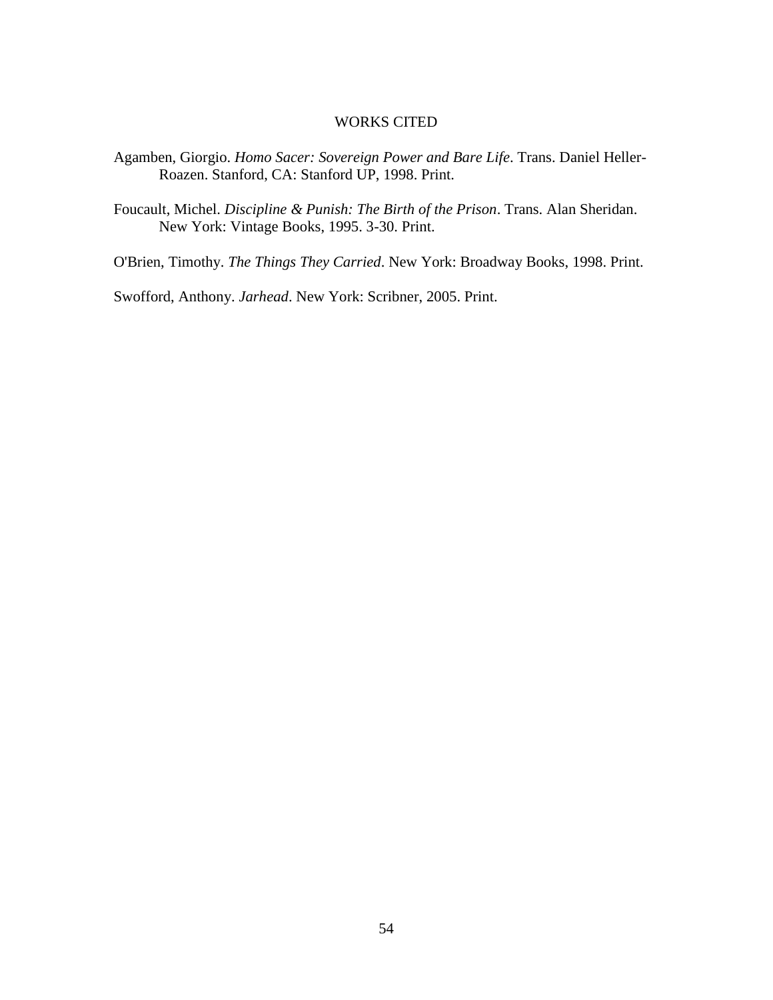### WORKS CITED

- Agamben, Giorgio. *Homo Sacer: Sovereign Power and Bare Life*. Trans. Daniel Heller-Roazen. Stanford, CA: Stanford UP, 1998. Print.
- Foucault, Michel. *Discipline & Punish: The Birth of the Prison*. Trans. Alan Sheridan. New York: Vintage Books, 1995. 3-30. Print.

O'Brien, Timothy. *The Things They Carried*. New York: Broadway Books, 1998. Print.

Swofford, Anthony. *Jarhead*. New York: Scribner, 2005. Print.